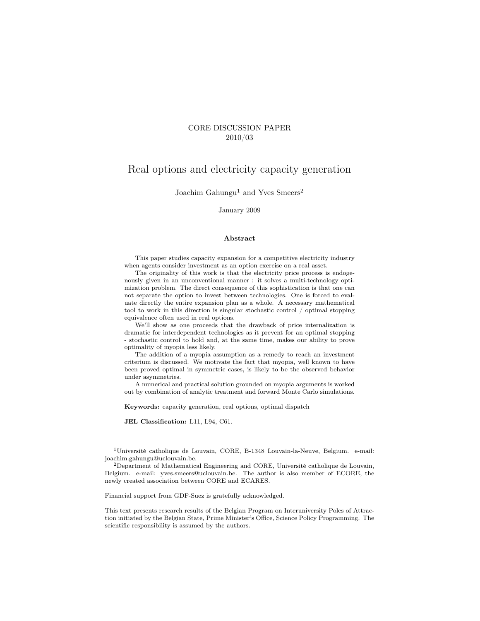#### CORE DISCUSSION PAPER 2010/03

## Real options and electricity capacity generation

Joachim Gahungu<sup>1</sup> and Yves Smeers<sup>2</sup>

#### January 2009

#### Abstract

This paper studies capacity expansion for a competitive electricity industry when agents consider investment as an option exercise on a real asset.

The originality of this work is that the electricity price process is endogenously given in an unconventional manner : it solves a multi-technology optimization problem. The direct consequence of this sophistication is that one can not separate the option to invest between technologies. One is forced to evaluate directly the entire expansion plan as a whole. A necessary mathematical tool to work in this direction is singular stochastic control / optimal stopping equivalence often used in real options.

We'll show as one proceeds that the drawback of price internalization is dramatic for interdependent technologies as it prevent for an optimal stopping - stochastic control to hold and, at the same time, makes our ability to prove optimality of myopia less likely.

The addition of a myopia assumption as a remedy to reach an investment criterium is discussed. We motivate the fact that myopia, well known to have been proved optimal in symmetric cases, is likely to be the observed behavior under asymmetries.

A numerical and practical solution grounded on myopia arguments is worked out by combination of analytic treatment and forward Monte Carlo simulations.

Keywords: capacity generation, real options, optimal dispatch

JEL Classification: L11, L94, C61.

<sup>1</sup>Université catholique de Louvain, CORE, B-1348 Louvain-la-Neuve, Belgium. e-mail: joachim.gahungu@uclouvain.be.

<sup>2</sup>Department of Mathematical Engineering and CORE, Université catholique de Louvain, Belgium. e-mail: yves.smeers@uclouvain.be. The author is also member of ECORE, the newly created association between CORE and ECARES.

Financial support from GDF-Suez is gratefully acknowledged.

This text presents research results of the Belgian Program on Interuniversity Poles of Attraction initiated by the Belgian State, Prime Minister's Office, Science Policy Programming. The scientific responsibility is assumed by the authors.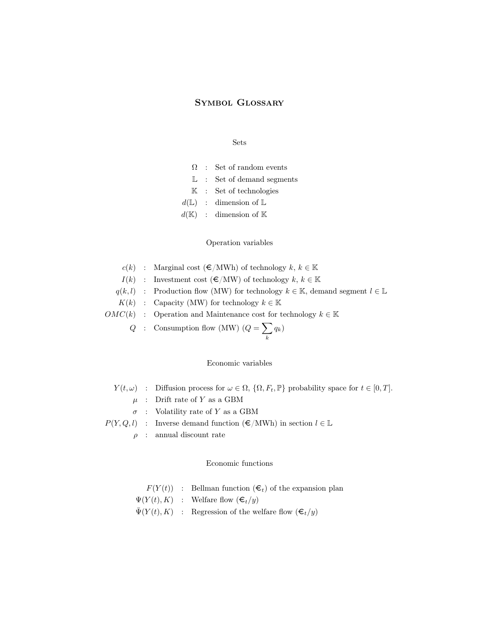### Symbol Glossary

#### Sets

- $\Omega$  : Set of random events
- $L$  : Set of demand segments
- K : Set of technologies
- $d(\mathbb{L})$  : dimension of  $\mathbb{L}$
- $d(\mathbb{K})$  : dimension of  $\mathbb{K}$

#### Operation variables

|  | $c(k)$ : Marginal cost $(\infty)$ MWh of technology $k, k \in \mathbb{K}$                              |
|--|--------------------------------------------------------------------------------------------------------|
|  | $I(k)$ : Investment cost $(\epsilon/MW)$ of technology $k, k \in \mathbb{K}$                           |
|  | $q(k, l)$ : Production flow (MW) for technology $k \in \mathbb{K}$ , demand segment $l \in \mathbb{L}$ |
|  | $K(k)$ : Capacity (MW) for technology $k \in \mathbb{K}$                                               |
|  | $OMC(k)$ : Operation and Maintenance cost for technology $k \in \mathbb{K}$                            |
|  | Q : Consumption flow (MW) $(Q = \sum q_k)$                                                             |

#### Economic variables

 $Y(t, \omega)$  : Diffusion process for  $\omega \in \Omega$ ,  $\{\Omega, F_t, \mathbb{P}\}\$  probability space for  $t \in [0, T]$ .

k

- $\mu$  : Drift rate of  $Y$  as a GBM
- $\sigma$  : Volatility rate of Y as a GBM
- $P(Y, Q, l)$  : Inverse demand function  $(\epsilon/MWh)$  in section  $l \in \mathbb{L}$ 
	- $\rho$ : annual discount rate

#### Economic functions

- $F(Y(t))$  : Bellman function  $(\epsilon_t)$  of the expansion plan
- $\Psi(Y(t), K)$  : Welfare flow  $(\boldsymbol{\epsilon}_t/y)$
- $\bar{\Psi}(Y(t), K)$  : Regression of the welfare flow  $(\boldsymbol{\epsilon}_t/y)$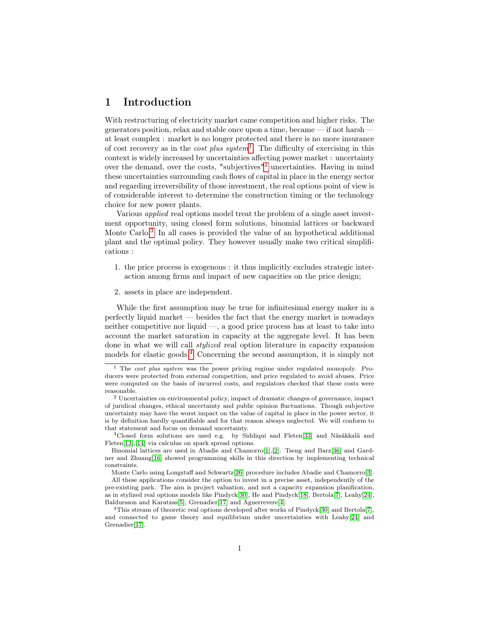## 1 Introduction

With restructuring of electricity market came competition and higher risks. The generators position, relax and stable once upon a time, became — if not harsh at least complex : market is no longer protected and there is no more insurance of cost recovery as in the *cost plus system*<sup>[1](#page-2-0)</sup>. The difficulty of exercising in this context is widely increased by uncertainties affecting power market : uncertainty over the demand, over the costs, "subjectives"[2](#page-2-1) uncertainties. Having in mind these uncertainties surrounding cash flows of capital in place in the energy sector and regarding irreversibility of those investment, the real options point of view is of considerable interest to determine the construction timing or the technology choice for new power plants.

Various applied real options model treat the problem of a single asset investment opportunity, using closed form solutions, binomial lattices or backward Monte Carlo.<sup>[3](#page-2-2)</sup> In all cases is provided the value of an hypothetical additional plant and the optimal policy. They however usually make two critical simplifications :

- 1. the price process is exogenous : it thus implicitly excludes strategic interaction among firms and impact of new capacities on the price design;
- 2. assets in place are independent.

While the first assumption may be true for infinitesimal energy maker in a perfectly liquid market — besides the fact that the energy market is nowadays neither competitive nor liquid —, a good price process has at least to take into account the market saturation in capacity at the aggregate level. It has been done in what we will call stylized real option literature in capacity expansion models for elastic goods.[4](#page-2-3) Concerning the second assumption, it is simply not

Monte Carlo using Longstaff and Schwartz[\[26\]](#page-26-1) procedure includes Abadie and Chamorro[\[3\]](#page-24-2).

<span id="page-2-0"></span><sup>&</sup>lt;sup>1</sup> The cost plus system was the power pricing regime under regulated monopoly. Producers were protected from external competition, and price regulated to avoid abuses. Price were computed on the basis of incurred costs, and regulators checked that these costs were reasonable.

<span id="page-2-1"></span><sup>2</sup> Uncertainties on environmental policy, impact of dramatic changes of governance, impact of juridical changes, ethical uncertainty and public opinion fluctuations. Though subjective uncertainty may have the worst impact on the value of capital in place in the power sector, it is by definition hardly quantifiable and for that reason always neglected. We will conform to that statement and focus on demand uncertainty.

<span id="page-2-2"></span><sup>3</sup>Closed form solutions are used e.g. by Siddiqui and Fleten[\[33\]](#page-26-0) and Näsäkkalä and Fleten[\[13\]](#page-25-0),[\[14\]](#page-25-1) via calculus on spark spread options.

Binomial lattices are used in Abadie and Chamorro[\[1\]](#page-24-0),[\[2\]](#page-24-1). Tseng and Barz[\[36\]](#page-27-0) and Gardner and Zhuang[\[16\]](#page-25-2) showed programming skills in this direction by implementing technical constraints.

All these applications consider the option to invest in a precise asset, independently of the pre-existing park. The aim is project valuation, and not a capacity expansion planification, as in stylized real options models like Pindyck[\[30\]](#page-26-2), He and Pindyck[\[18\]](#page-25-3), Bertola[\[7\]](#page-25-4), Leahy[\[24\]](#page-26-3), Baldursson and Karatzas[\[5\]](#page-24-3), Grenadier[\[17\]](#page-25-5) and Aguerrevere[\[4\]](#page-24-4).

<span id="page-2-3"></span><sup>4</sup>This stream of theoretic real options developed after works of Pindyck[\[30\]](#page-26-2) and Bertola[\[7\]](#page-25-4), and connected to game theory and equilibrium under uncertainties with Leahy[\[24\]](#page-26-3) and Grenadier[\[17\]](#page-25-5).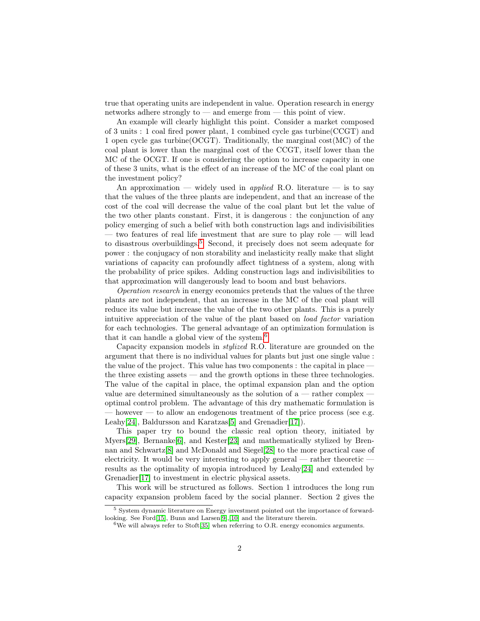true that operating units are independent in value. Operation research in energy networks adhere strongly to — and emerge from — this point of view.

An example will clearly highlight this point. Consider a market composed of 3 units : 1 coal fired power plant, 1 combined cycle gas turbine(CCGT) and 1 open cycle gas turbine( $\text{OCGT}$ ). Traditionally, the marginal cost(MC) of the coal plant is lower than the marginal cost of the CCGT, itself lower than the MC of the OCGT. If one is considering the option to increase capacity in one of these 3 units, what is the effect of an increase of the MC of the coal plant on the investment policy?

An approximation — widely used in *applied* R.O. literature — is to say that the values of the three plants are independent, and that an increase of the cost of the coal will decrease the value of the coal plant but let the value of the two other plants constant. First, it is dangerous : the conjunction of any policy emerging of such a belief with both construction lags and indivisibilities — two features of real life investment that are sure to play role — will lead to disastrous overbuildings.[5](#page-3-0) Second, it precisely does not seem adequate for power : the conjugacy of non storability and inelasticity really make that slight variations of capacity can profoundly affect tightness of a system, along with the probability of price spikes. Adding construction lags and indivisibilities to that approximation will dangerously lead to boom and bust behaviors.

Operation research in energy economics pretends that the values of the three plants are not independent, that an increase in the MC of the coal plant will reduce its value but increase the value of the two other plants. This is a purely intuitive appreciation of the value of the plant based on load factor variation for each technologies. The general advantage of an optimization formulation is that it can handle a global view of the system.[6](#page-3-1)

Capacity expansion models in stylized R.O. literature are grounded on the argument that there is no individual values for plants but just one single value : the value of the project. This value has two components : the capital in place the three existing assets — and the growth options in these three technologies. The value of the capital in place, the optimal expansion plan and the option value are determined simultaneously as the solution of  $a$  — rather complex – optimal control problem. The advantage of this dry mathematic formulation is  $-$  however  $-$  to allow an endogenous treatment of the price process (see e.g. Leahy<sup>[\[24\]](#page-26-3)</sup>, Baldursson and Karatzas<sup>[\[5\]](#page-24-3)</sup> and Grenadier<sup>[\[17\]](#page-25-5)</sup>.

This paper try to bound the classic real option theory, initiated by Myers[\[29\]](#page-26-4), Bernanke $[6]$ , and Kester[\[23\]](#page-26-5) and mathematically stylized by Brennan and Schwartz[\[8\]](#page-25-7) and McDonald and Siegel[\[28\]](#page-26-6) to the more practical case of electricity. It would be very interesting to apply general — rather theoretic  $$ results as the optimality of myopia introduced by Leahy[\[24\]](#page-26-3) and extended by Grenadier[\[17\]](#page-25-5) to investment in electric physical assets.

This work will be structured as follows. Section 1 introduces the long run capacity expansion problem faced by the social planner. Section 2 gives the

<span id="page-3-0"></span><sup>5</sup> System dynamic literature on Energy investment pointed out the importance of forwardlooking. See Ford[\[15\]](#page-25-8), Bunn and Larsen[\[9\]](#page-25-9),[\[10\]](#page-25-10) and the literature therein.

<span id="page-3-1"></span> $6$ We will always refer to Stoft[\[35\]](#page-26-7) when referring to O.R. energy economics arguments.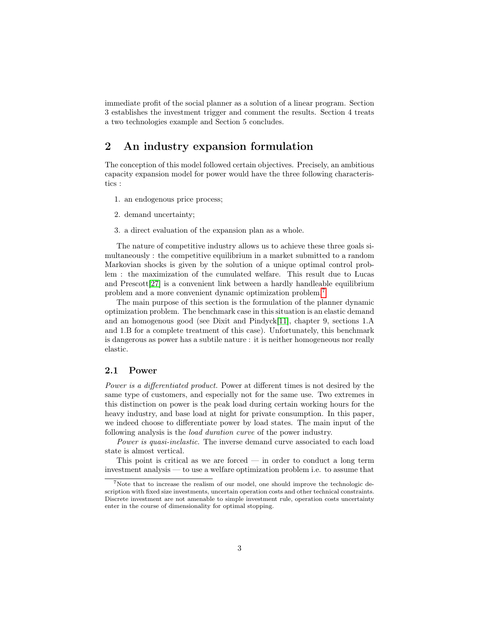immediate profit of the social planner as a solution of a linear program. Section 3 establishes the investment trigger and comment the results. Section 4 treats a two technologies example and Section 5 concludes.

## 2 An industry expansion formulation

The conception of this model followed certain objectives. Precisely, an ambitious capacity expansion model for power would have the three following characteristics :

- 1. an endogenous price process;
- 2. demand uncertainty;
- 3. a direct evaluation of the expansion plan as a whole.

The nature of competitive industry allows us to achieve these three goals simultaneously : the competitive equilibrium in a market submitted to a random Markovian shocks is given by the solution of a unique optimal control problem : the maximization of the cumulated welfare. This result due to Lucas and Prescott[\[27\]](#page-26-8) is a convenient link between a hardly handleable equilibrium problem and a more convenient dynamic optimization problem.[7](#page-4-0)

The main purpose of this section is the formulation of the planner dynamic optimization problem. The benchmark case in this situation is an elastic demand and an homogenous good (see Dixit and Pindyck[\[11\]](#page-25-11), chapter 9, sections 1.A and 1.B for a complete treatment of this case). Unfortunately, this benchmark is dangerous as power has a subtile nature : it is neither homogeneous nor really elastic.

#### 2.1 Power

Power is a differentiated product. Power at different times is not desired by the same type of customers, and especially not for the same use. Two extremes in this distinction on power is the peak load during certain working hours for the heavy industry, and base load at night for private consumption. In this paper, we indeed choose to differentiate power by load states. The main input of the following analysis is the *load duration curve* of the power industry.

Power is quasi-inelastic. The inverse demand curve associated to each load state is almost vertical.

This point is critical as we are forced  $-$  in order to conduct a long term investment analysis — to use a welfare optimization problem i.e. to assume that

<span id="page-4-0"></span><sup>7</sup>Note that to increase the realism of our model, one should improve the technologic description with fixed size investments, uncertain operation costs and other technical constraints. Discrete investment are not amenable to simple investment rule, operation costs uncertainty enter in the course of dimensionality for optimal stopping.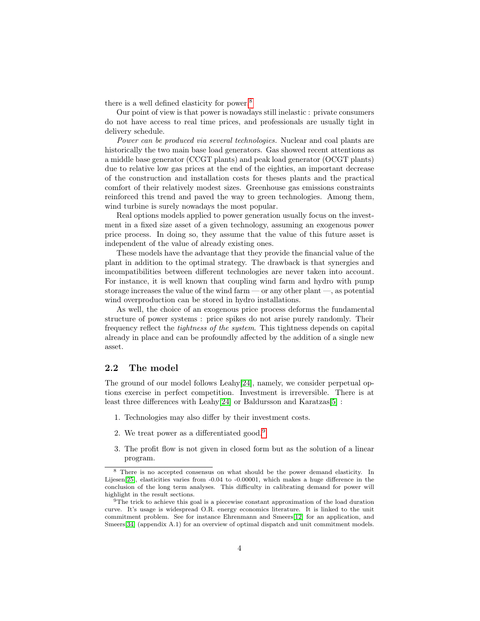there is a well defined elasticity for power.[8](#page-5-0)

Our point of view is that power is nowadays still inelastic : private consumers do not have access to real time prices, and professionals are usually tight in delivery schedule.

Power can be produced via several technologies. Nuclear and coal plants are historically the two main base load generators. Gas showed recent attentions as a middle base generator (CCGT plants) and peak load generator (OCGT plants) due to relative low gas prices at the end of the eighties, an important decrease of the construction and installation costs for theses plants and the practical comfort of their relatively modest sizes. Greenhouse gas emissions constraints reinforced this trend and paved the way to green technologies. Among them, wind turbine is surely nowadays the most popular.

Real options models applied to power generation usually focus on the investment in a fixed size asset of a given technology, assuming an exogenous power price process. In doing so, they assume that the value of this future asset is independent of the value of already existing ones.

These models have the advantage that they provide the financial value of the plant in addition to the optimal strategy. The drawback is that synergies and incompatibilities between different technologies are never taken into account. For instance, it is well known that coupling wind farm and hydro with pump storage increases the value of the wind farm — or any other plant —, as potential wind overproduction can be stored in hydro installations.

As well, the choice of an exogenous price process deforms the fundamental structure of power systems : price spikes do not arise purely randomly. Their frequency reflect the tightness of the system. This tightness depends on capital already in place and can be profoundly affected by the addition of a single new asset.

### 2.2 The model

The ground of our model follows Leahy[\[24\]](#page-26-3), namely, we consider perpetual options exercise in perfect competition. Investment is irreversible. There is at least three differences with Leahy $[24]$  or Baldursson and Karatzas $[5]$ :

- <span id="page-5-2"></span>1. Technologies may also differ by their investment costs.
- <span id="page-5-3"></span>2. We treat power as a differentiated good.[9](#page-5-1)
- <span id="page-5-4"></span>3. The profit flow is not given in closed form but as the solution of a linear program.

<span id="page-5-0"></span><sup>8</sup> There is no accepted consensus on what should be the power demand elasticity. In Lijesen[\[25\]](#page-26-9), elasticities varies from -0.04 to -0.00001, which makes a huge difference in the conclusion of the long term analyses. This difficulty in calibrating demand for power will highlight in the result sections.

<span id="page-5-1"></span><sup>&</sup>lt;sup>9</sup>The trick to achieve this goal is a piecewise constant approximation of the load duration curve. It's usage is widespread O.R. energy economics literature. It is linked to the unit commitment problem. See for instance Ehrenmann and Smeers[\[12\]](#page-25-12) for an application, and Smeers[\[34\]](#page-26-10) (appendix A.1) for an overview of optimal dispatch and unit commitment models.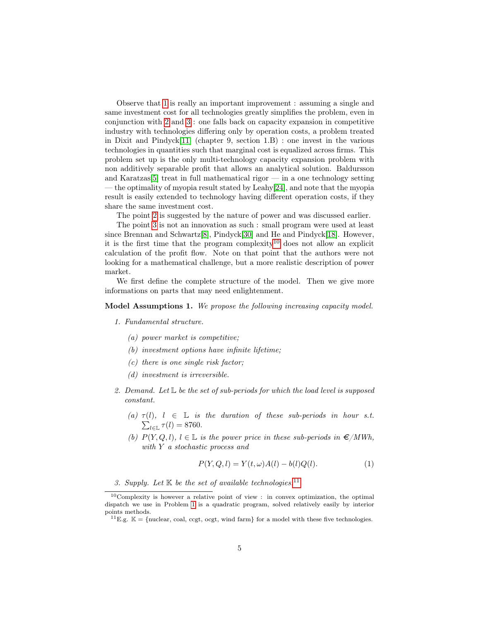Observe that [1](#page-5-2) is really an important improvement : assuming a single and same investment cost for all technologies greatly simplifies the problem, even in conjunction with [2](#page-5-3) and [3](#page-5-4) : one falls back on capacity expansion in competitive industry with technologies differing only by operation costs, a problem treated in Dixit and Pindyck[\[11\]](#page-25-11) (chapter 9, section 1.B) : one invest in the various technologies in quantities such that marginal cost is equalized across firms. This problem set up is the only multi-technology capacity expansion problem with non additively separable profit that allows an analytical solution. Baldursson and Karatzas<sup>[\[5\]](#page-24-3)</sup> treat in full mathematical rigor  $\frac{1}{2}$  in a one technology setting — the optimality of myopia result stated by Leahy $[24]$ , and note that the myopia result is easily extended to technology having different operation costs, if they share the same investment cost.

The point [2](#page-5-3) is suggested by the nature of power and was discussed earlier.

The point [3](#page-5-4) is not an innovation as such : small program were used at least since Brennan and Schwartz[\[8\]](#page-25-7), Pindyck[\[30\]](#page-26-2) and He and Pindyck[\[18\]](#page-25-3). However, it is the first time that the program complexity<sup>[10](#page-6-0)</sup> does not allow an explicit calculation of the profit flow. Note on that point that the authors were not looking for a mathematical challenge, but a more realistic description of power market.

We first define the complete structure of the model. Then we give more informations on parts that may need enlightenment.

#### Model Assumptions 1. We propose the following increasing capacity model.

#### 1. Fundamental structure.

- (a) power market is competitive;
- (b) investment options have infinite lifetime;
- (c) there is one single risk factor;
- (d) investment is irreversible.
- 2. Demand. Let  $\mathbb L$  be the set of sub-periods for which the load level is supposed constant.
	- (a)  $\tau(l)$ ,  $l \in \mathbb{L}$  is the duration of these sub-periods in hour s.t.  $\sum_{l\in\mathbb{L}}\tau(l)=8760.$
	- (b)  $P(Y, Q, l)$ ,  $l \in \mathbb{L}$  is the power price in these sub-periods in  $\epsilon/MWh$ , with Y a stochastic process and

$$
P(Y, Q, l) = Y(t, \omega)A(l) - b(l)Q(l). \tag{1}
$$

3. Supply. Let  $K$  be the set of available technologies.<sup>[11](#page-6-1)</sup>

<span id="page-6-0"></span> $10$ Complexity is however a relative point of view : in convex optimization, the optimal dispatch we use in Problem [1](#page-8-0) is a quadratic program, solved relatively easily by interior points methods.

<span id="page-6-1"></span><sup>&</sup>lt;sup>11</sup>E.g.  $\mathbb{K} = \{\text{nuclear, coal, cegt, ocgt, wind farm}\}$  for a model with these five technologies.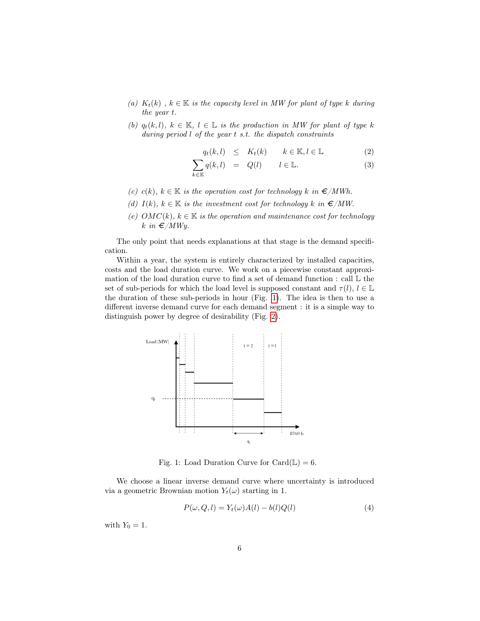- (a)  $K_t(k)$ ,  $k \in \mathbb{K}$  is the capacity level in MW for plant of type k during the year t.
- (b)  $q_t(k, l)$ ,  $k \in \mathbb{K}$ ,  $l \in \mathbb{L}$  is the production in MW for plant of type k during period l of the year t s.t. the dispatch constraints

$$
q_t(k,l) \leq K_t(k) \qquad k \in \mathbb{K}, l \in \mathbb{L} \tag{2}
$$

$$
\sum_{k \in \mathbb{K}} q(k, l) = Q(l) \qquad l \in \mathbb{L}.\tag{3}
$$

- (c) c(k),  $k \in \mathbb{K}$  is the operation cost for technology k in  $\epsilon/MWh$ .
- (d)  $I(k)$ ,  $k \in \mathbb{K}$  is the investment cost for technology k in  $\epsilon/MW$ .
- (e)  $OMC(k)$ ,  $k \in \mathbb{K}$  is the operation and maintenance cost for technology k in  $\epsilon/MWy$ .

The only point that needs explanations at that stage is the demand specification.

Within a year, the system is entirely characterized by installed capacities, costs and the load duration curve. We work on a piecewise constant approximation of the load duration curve to find a set of demand function : call L the set of sub-periods for which the load level is supposed constant and  $\tau(l)$ ,  $l \in \mathbb{L}$ the duration of these sub-periods in hour (Fig. [1\)](#page-7-0). The idea is then to use a different inverse demand curve for each demand segment : it is a simple way to distinguish power by degree of desirability (Fig. [2\)](#page-8-1).



<span id="page-7-0"></span>Fig. 1: Load Duration Curve for Card $(\mathbb{L}) = 6$ .

We choose a linear inverse demand curve where uncertainty is introduced via a geometric Brownian motion  $Y_t(\omega)$  starting in 1.

$$
P(\omega, Q, l) = Y_t(\omega)A(l) - b(l)Q(l)
$$
\n<sup>(4)</sup>

with  $Y_0 = 1$ .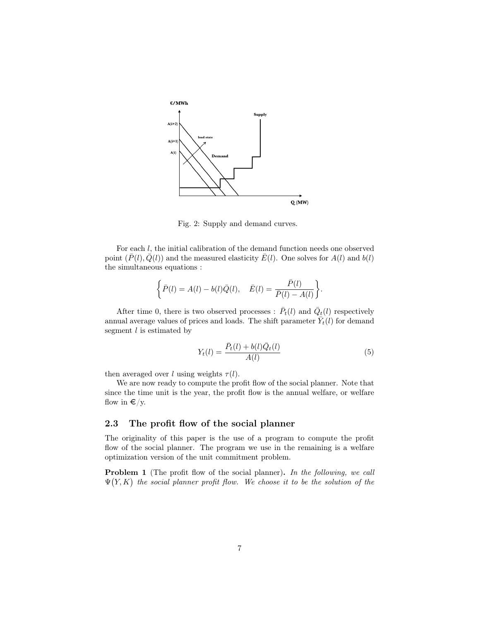

<span id="page-8-1"></span>Fig. 2: Supply and demand curves.

For each l, the initial calibration of the demand function needs one observed point  $(\bar{P}(l), \bar{Q}(l))$  and the measured elasticity  $\bar{E}(l)$ . One solves for  $A(l)$  and  $b(l)$ the simultaneous equations :

$$
\left\{\bar{P}(l)=A(l)-b(l)\bar{Q}(l),\quad \bar{E}(l)=\frac{\bar{P}(l)}{\bar{P}(l)-A(l)}\right\}.
$$

After time 0, there is two observed processes :  $\bar{P}_t(l)$  and  $\bar{Q}_t(l)$  respectively annual average values of prices and loads. The shift parameter  $\tilde{Y}_t(l)$  for demand segment  $l$  is estimated by

$$
Y_t(l) = \frac{\bar{P}_t(l) + b(l)\bar{Q}_t(l)}{A(l)}
$$
\n(5)

then averaged over l using weights  $\tau(l)$ .

We are now ready to compute the profit flow of the social planner. Note that since the time unit is the year, the profit flow is the annual welfare, or welfare flow in  $\epsilon$ /y.

#### 2.3 The profit flow of the social planner

The originality of this paper is the use of a program to compute the profit flow of the social planner. The program we use in the remaining is a welfare optimization version of the unit commitment problem.

<span id="page-8-0"></span>**Problem 1** (The profit flow of the social planner). In the following, we call  $\Psi(Y, K)$  the social planner profit flow. We choose it to be the solution of the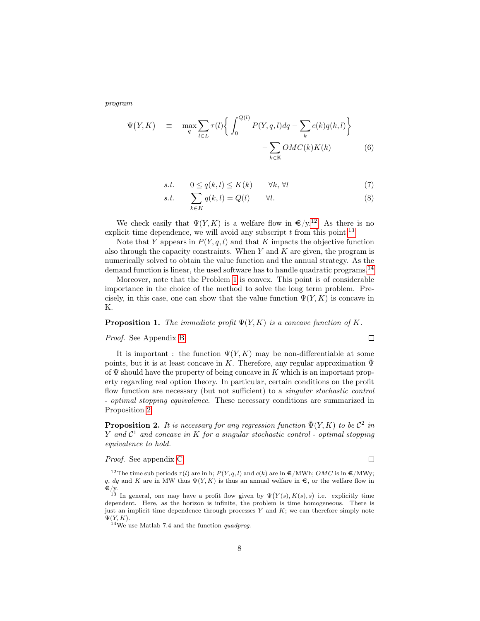program

<span id="page-9-4"></span>
$$
\Psi(Y,K) \equiv \max_{q} \sum_{l \in L} \tau(l) \left\{ \int_0^{Q(l)} P(Y,q,l) dq - \sum_k c(k) q(k,l) \right\} - \sum_{k \in \mathbb{K}} OMC(k)K(k) \tag{6}
$$

$$
s.t. \qquad 0 \le q(k,l) \le K(k) \qquad \forall k, \forall l \tag{7}
$$

$$
s.t. \qquad \sum_{k \in K} q(k, l) = Q(l) \qquad \forall l. \tag{8}
$$

We check easily that  $\Psi(Y, K)$  is a welfare flow in  $\epsilon/y$ .<sup>[12](#page-9-0)</sup> As there is no explicit time dependence, we will avoid any subscript  $t$  from this point.<sup>[13](#page-9-1)</sup>

Note that Y appears in  $P(Y, q, l)$  and that K impacts the objective function also through the capacity constraints. When  $Y$  and  $K$  are given, the program is numerically solved to obtain the value function and the annual strategy. As the demand function is linear, the used software has to handle quadratic programs.<sup>[14](#page-9-2)</sup>

Moreover, note that the Problem [1](#page-8-0) is convex. This point is of considerable importance in the choice of the method to solve the long term problem. Precisely, in this case, one can show that the value function  $\Psi(Y, K)$  is concave in K.

#### <span id="page-9-5"></span>**Proposition 1.** The immediate profit  $\Psi(Y, K)$  is a concave function of K.

#### Proof. See Appendix [B.](#page-27-1)

It is important : the function  $\Psi(Y, K)$  may be non-differentiable at some points, but it is at least concave in K. Therefore, any regular approximation  $\bar{\Psi}$ of  $\Psi$  should have the property of being concave in K which is an important property regarding real option theory. In particular, certain conditions on the profit flow function are necessary (but not sufficient) to a singular stochastic control - optimal stopping equivalence. These necessary conditions are summarized in Proposition [2.](#page-9-3)

<span id="page-9-3"></span>**Proposition 2.** It is necessary for any regression function  $\bar{\Psi}(Y, K)$  to be  $\mathcal{C}^2$  in Y and  $\mathcal{C}^1$  and concave in K for a singular stochastic control - optimal stopping equivalence to hold.

Proof. See appendix [C.](#page-28-0)

 $\Box$ 

 $\Box$ 

<span id="page-9-0"></span><sup>&</sup>lt;sup>12</sup>The time sub periods  $\tau(l)$  are in h;  $P(Y, q, l)$  and  $c(k)$  are in  $\epsilon/MWh$ ;  $OMC$  is in  $\epsilon/MWy$ ; q, dq and K are in MW thus  $\Psi(Y, K)$  is thus an annual welfare in  $\epsilon$ , or the welfare flow in  $\boldsymbol{\in}/\mathrm{y}$ .

<span id="page-9-1"></span><sup>&</sup>lt;sup>13</sup> In general, one may have a profit flow given by  $\Psi(Y(s), K(s), s)$  i.e. explicitly time dependent. Here, as the horizon is infinite, the problem is time homogeneous. There is just an implicit time dependence through processes  $Y$  and  $K$ ; we can therefore simply note  $\Psi(Y,K)$ .

<span id="page-9-2"></span> $14\text{We}$  use Matlab 7.4 and the function quadprog.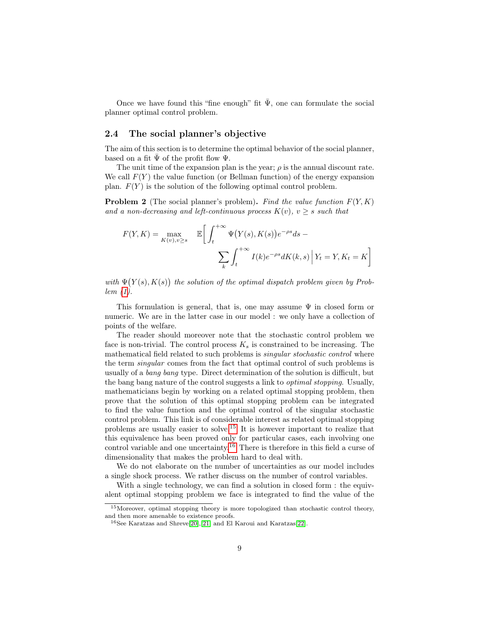Once we have found this "fine enough" fit  $\bar{\Psi}$ , one can formulate the social planner optimal control problem.

#### 2.4 The social planner's objective

The aim of this section is to determine the optimal behavior of the social planner, based on a fit  $\bar{\Psi}$  of the profit flow  $\Psi$ .

The unit time of the expansion plan is the year;  $\rho$  is the annual discount rate. We call  $F(Y)$  the value function (or Bellman function) of the energy expansion plan.  $F(Y)$  is the solution of the following optimal control problem.

**Problem 2** (The social planner's problem). Find the value function  $F(Y, K)$ and a non-decreasing and left-continuous process  $K(v)$ ,  $v \geq s$  such that

$$
F(Y, K) = \max_{K(v), v \ge s} \mathbb{E}\bigg[\int_t^{+\infty} \Psi(Y(s), K(s))e^{-\rho s}ds - \sum_k \int_t^{+\infty} I(k)e^{-\rho s}dK(k, s)\bigg|Y_t = Y, K_t = K\bigg]
$$

with  $\Psi(Y(s), K(s))$  the solution of the optimal dispatch problem given by Problem [\(1\)](#page-8-0).

This formulation is general, that is, one may assume  $\Psi$  in closed form or numeric. We are in the latter case in our model : we only have a collection of points of the welfare.

The reader should moreover note that the stochastic control problem we face is non-trivial. The control process  $K_s$  is constrained to be increasing. The mathematical field related to such problems is singular stochastic control where the term singular comes from the fact that optimal control of such problems is usually of a bang bang type. Direct determination of the solution is difficult, but the bang bang nature of the control suggests a link to optimal stopping. Usually, mathematicians begin by working on a related optimal stopping problem, then prove that the solution of this optimal stopping problem can be integrated to find the value function and the optimal control of the singular stochastic control problem. This link is of considerable interest as related optimal stopping problems are usually easier to solve.[15](#page-10-0) It is however important to realize that this equivalence has been proved only for particular cases, each involving one control variable and one uncertainty.[16](#page-10-1) There is therefore in this field a curse of dimensionality that makes the problem hard to deal with.

We do not elaborate on the number of uncertainties as our model includes a single shock process. We rather discuss on the number of control variables.

With a single technology, we can find a solution in closed form : the equivalent optimal stopping problem we face is integrated to find the value of the

<span id="page-10-0"></span><sup>15</sup>Moreover, optimal stopping theory is more topologized than stochastic control theory, and then more amenable to existence proofs.

<span id="page-10-1"></span><sup>16</sup>See Karatzas and Shreve[\[20\]](#page-26-11),[\[21\]](#page-26-12) and El Karoui and Karatzas[\[22\]](#page-26-13).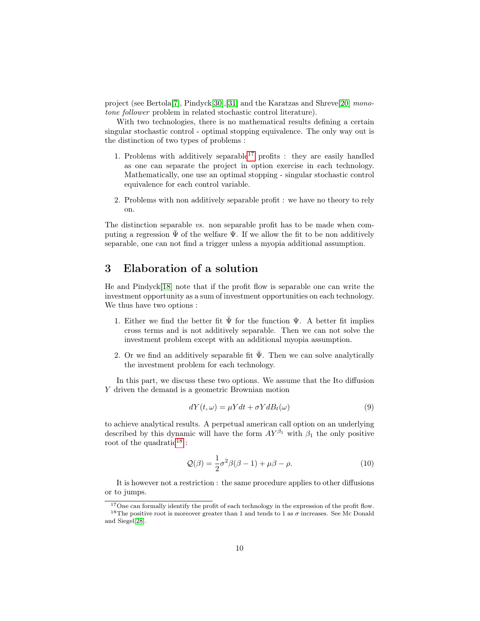project (see Bertola[\[7\]](#page-25-4), Pindyck[\[30\]](#page-26-2),[\[31\]](#page-26-14) and the Karatzas and Shreve[\[20\]](#page-26-11) monotone follower problem in related stochastic control literature).

With two technologies, there is no mathematical results defining a certain singular stochastic control - optimal stopping equivalence. The only way out is the distinction of two types of problems :

- 1. Problems with additively separable<sup>[17](#page-11-0)</sup> profits : they are easily handled as one can separate the project in option exercise in each technology. Mathematically, one use an optimal stopping - singular stochastic control equivalence for each control variable.
- 2. Problems with non additively separable profit : we have no theory to rely on.

The distinction separable vs. non separable profit has to be made when computing a regression  $\Psi$  of the welfare  $\Psi$ . If we allow the fit to be non additively separable, one can not find a trigger unless a myopia additional assumption.

## 3 Elaboration of a solution

He and Pindyck[\[18\]](#page-25-3) note that if the profit flow is separable one can write the investment opportunity as a sum of investment opportunities on each technology. We thus have two options :

- 1. Either we find the better fit  $\bar{\Psi}$  for the function  $\Psi$ . A better fit implies cross terms and is not additively separable. Then we can not solve the investment problem except with an additional myopia assumption.
- 2. Or we find an additively separable fit  $\Psi$ . Then we can solve analytically the investment problem for each technology.

In this part, we discuss these two options. We assume that the Ito diffusion Y driven the demand is a geometric Brownian motion

<span id="page-11-2"></span>
$$
dY(t,\omega) = \mu Ydt + \sigma YdB_t(\omega)
$$
\n(9)

to achieve analytical results. A perpetual american call option on an underlying described by this dynamic will have the form  $AY^{\beta_1}$  with  $\beta_1$  the only positive root of the quadratic<sup>[18](#page-11-1)</sup>:

<span id="page-11-3"></span>
$$
\mathcal{Q}(\beta) = \frac{1}{2}\sigma^2 \beta(\beta - 1) + \mu \beta - \rho.
$$
 (10)

It is however not a restriction : the same procedure applies to other diffusions or to jumps.

<span id="page-11-1"></span><span id="page-11-0"></span><sup>&</sup>lt;sup>17</sup>One can formally identify the profit of each technology in the expression of the profit flow. <sup>18</sup>The positive root is moreover greater than 1 and tends to 1 as  $\sigma$  increases. See Mc Donald and Siegel[\[28\]](#page-26-6).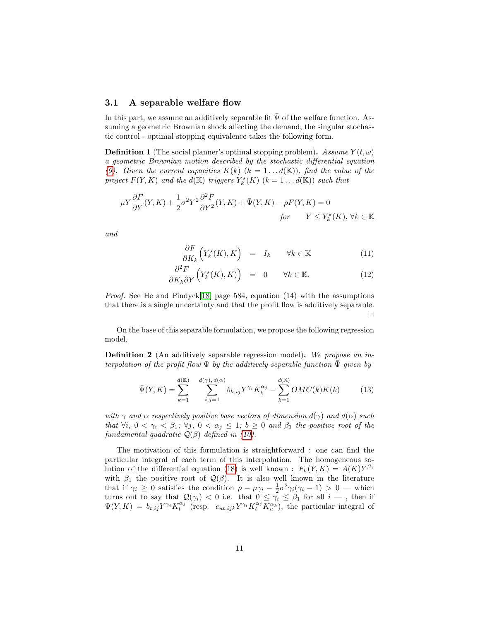#### 3.1 A separable welfare flow

In this part, we assume an additively separable fit  $\Psi$  of the welfare function. Assuming a geometric Brownian shock affecting the demand, the singular stochastic control - optimal stopping equivalence takes the following form.

**Definition 1** (The social planner's optimal stopping problem). Assume  $Y(t, \omega)$ a geometric Brownian motion described by the stochastic differential equation [\(9\)](#page-11-2). Given the current capacities  $K(k)$   $(k = 1...d(\mathbb{K}))$ , find the value of the project  $F(Y, K)$  and the  $d(\mathbb{K})$  triggers  $Y_k^{\star}(K)$   $(k = 1...d(\mathbb{K}))$  such that

$$
\mu Y \frac{\partial F}{\partial Y}(Y,K) + \frac{1}{2} \sigma^2 Y^2 \frac{\partial^2 F}{\partial Y^2}(Y,K) + \bar{\Psi}(Y,K) - \rho F(Y,K) = 0
$$
  
for  $Y \le Y_k^*(K), \forall k \in \mathbb{K}$ 

and

<span id="page-12-2"></span>
$$
\frac{\partial F}{\partial K_k} \Big( Y_k^\star(K), K \Big) = I_k \qquad \forall k \in \mathbb{K} \tag{11}
$$

$$
\frac{\partial^2 F}{\partial K_k \partial Y} \Big( Y_k^\star(K), K) \Big) = 0 \qquad \forall k \in \mathbb{K}.
$$
 (12)

*Proof.* See He and Pindyck[\[18\]](#page-25-3) page 584, equation  $(14)$  with the assumptions that there is a single uncertainty and that the profit flow is additively separable.  $\Box$ 

On the base of this separable formulation, we propose the following regression model.

<span id="page-12-0"></span>Definition 2 (An additively separable regression model). We propose an interpolation of the profit flow  $\Psi$  by the additively separable function  $\overline{\Psi}$  given by

<span id="page-12-1"></span>
$$
\bar{\Psi}(Y,K) = \sum_{k=1}^{d(\mathbb{K})} \sum_{i,j=1}^{d(\gamma), d(\alpha)} b_{k,ij} Y^{\gamma_i} K_k^{\alpha_j} - \sum_{k=1}^{d(\mathbb{K})} OMC(k)K(k) \tag{13}
$$

with  $\gamma$  and  $\alpha$  respectively positive base vectors of dimension  $d(\gamma)$  and  $d(\alpha)$  such that  $\forall i, 0 < \gamma_i < \beta_1$ ;  $\forall j, 0 < \alpha_j \leq 1$ ;  $b \geq 0$  and  $\beta_1$  the positive root of the fundamental quadratic  $Q(\beta)$  defined in [\(10\)](#page-11-3).

The motivation of this formulation is straightforward : one can find the particular integral of each term of this interpolation. The homogeneous so-lution of the differential equation [\(18\)](#page-15-0) is well known :  $F_h(Y, K) = A(K)Y^{\beta_1}$ with  $\beta_1$  the positive root of  $\mathcal{Q}(\beta)$ . It is also well known in the literature that if  $\gamma_i \geq 0$  satisfies the condition  $\rho - \mu \gamma_i - \frac{1}{2} \sigma^2 \gamma_i (\gamma_i - 1) > 0$  — which turns out to say that  $\mathcal{Q}(\gamma_i) < 0$  i.e. that  $0 \leq \gamma_i \leq \beta_1$  for all  $i - \zeta$ , then if  $\Psi(Y,K) = b_{t,ij} Y^{\gamma_i} K_t^{\alpha_j}$  (resp.  $c_{ut,ijk} Y^{\gamma_i} K_t^{\alpha_j} \overline{K_u^{\alpha_k}}$ ), the particular integral of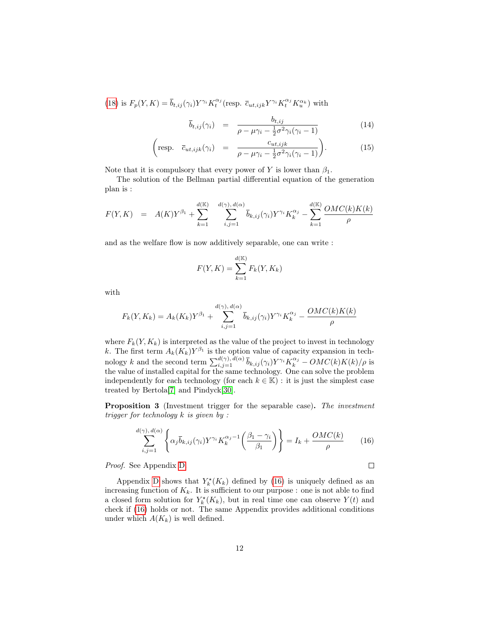[\(18\)](#page-15-0) is  $F_p(Y, K) = \overline{b}_{t,ij}(\gamma_i) Y^{\gamma_i} K_t^{\alpha_j}(\text{resp. } \overline{c}_{ut,ijk} Y^{\gamma_i} K_t^{\alpha_j} K_u^{\alpha_k})$  with

<span id="page-13-2"></span>
$$
\overline{b}_{t,ij}(\gamma_i) = \frac{b_{t,ij}}{\rho - \mu \gamma_i - \frac{1}{2} \sigma^2 \gamma_i (\gamma_i - 1)}
$$
(14)

$$
\left(\text{resp.} \quad \overline{c}_{ut,ijk}(\gamma_i) \quad = \quad \frac{c_{ut,ijk}}{\rho - \mu \gamma_i - \frac{1}{2}\sigma^2 \gamma_i (\gamma_i - 1)}\right). \tag{15}
$$

Note that it is compulsory that every power of Y is lower than  $\beta_1$ .

The solution of the Bellman partial differential equation of the generation plan is :

$$
F(Y,K) = A(K)Y^{\beta_1} + \sum_{k=1}^{d(\mathbb{K})} \sum_{i,j=1}^{d(\gamma), d(\alpha)} \overline{b}_{k,ij}(\gamma_i) Y^{\gamma_i} K_k^{\alpha_j} - \sum_{k=1}^{d(\mathbb{K})} \frac{OMC(k)K(k)}{\rho}
$$

and as the welfare flow is now additively separable, one can write :

$$
F(Y,K) = \sum_{k=1}^{d(K)} F_k(Y,K_k)
$$

with

$$
F_k(Y, K_k) = A_k(K_k)Y^{\beta_1} + \sum_{i,j=1}^{d(\gamma), d(\alpha)} \overline{b}_{k,ij}(\gamma_i)Y^{\gamma_i}K_k^{\alpha_j} - \frac{OMC(k)K(k)}{\rho}
$$

where  $F_k(Y, K_k)$  is interpreted as the value of the project to invest in technology k. The first term  $A_k(K_k)Y^{\beta_1}$  is the option value of capacity expansion in technology k and the second term  $\sum_{i,j=1}^{d(\gamma), d(\alpha)} \bar{b}_{k,ij}(\gamma_i) Y^{\gamma_i} K^{\alpha_j}_{k} - OMC(k)K(k)/\rho$  is the value of installed capital for the same technology. One can solve the problem independently for each technology (for each  $k \in \mathbb{K}$ ) : it is just the simplest case treated by Bertola[\[7\]](#page-25-4) and Pindyck[\[30\]](#page-26-2).

<span id="page-13-1"></span>Proposition 3 (Investment trigger for the separable case). The investment trigger for technology k is given by :

<span id="page-13-0"></span>
$$
\sum_{i,j=1}^{d(\gamma),\,d(\alpha)} \left\{ \alpha_j \overline{b}_{k,ij}(\gamma_i) Y^{\gamma_i} K_k^{\alpha_j - 1} \left( \frac{\beta_1 - \gamma_i}{\beta_1} \right) \right\} = I_k + \frac{OMC(k)}{\rho} \tag{16}
$$

 $\Box$ 

Proof. See Appendix [D.](#page-28-1)

Appendix [D](#page-28-1) shows that  $Y_k^*(K_k)$  defined by [\(16\)](#page-13-0) is uniquely defined as an increasing function of  $K_k$ . It is sufficient to our purpose : one is not able to find a closed form solution for  $Y_k^{\star}(K_k)$ , but in real time one can observe  $Y(t)$  and check if [\(16\)](#page-13-0) holds or not. The same Appendix provides additional conditions under which  $A(K_k)$  is well defined.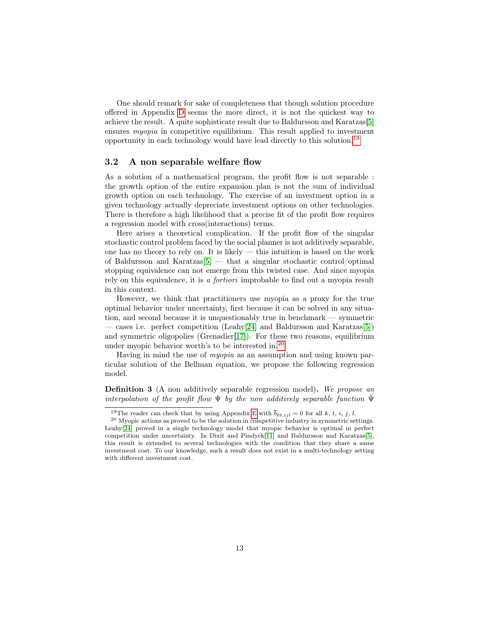One should remark for sake of completeness that though solution procedure offered in Appendix [D](#page-28-1) seems the more direct, it is not the quickest way to achieve the result. A quite sophisticate result due to Baldursson and Karatzas[\[5\]](#page-24-3) ensures myopia in competitive equilibrium. This result applied to investment opportunity in each technology would have lead directly to this solution.[19](#page-14-0)

#### 3.2 A non separable welfare flow

As a solution of a mathematical program, the profit flow is not separable : the growth option of the entire expansion plan is not the sum of individual growth option on each technology. The exercise of an investment option in a given technology actually depreciate investment options on other technologies. There is therefore a high likelihood that a precise fit of the profit flow requires a regression model with cross(interactions) terms.

Here arises a theoretical complication. If the profit flow of the singular stochastic control problem faced by the social planner is not additively separable, one has no theory to rely on. It is likely  $-$  this intuition is based on the work of Baldursson and Karatzas[\[5\]](#page-24-3) — that a singular stochastic control/optimal stopping equivalence can not emerge from this twisted case. And since myopia rely on this equivalence, it is a fortiori improbable to find out a myopia result in this context.

However, we think that practitioners use myopia as a proxy for the true optimal behavior under uncertainty, first because it can be solved in any situation, and second because it is unquestionably true in benchmark — symmetric — cases i.e. perfect competition (Leahy[\[24\]](#page-26-3) and Baldursson and Karatzas[\[5\]](#page-24-3)) and symmetric oligopolies (Grenadier[\[17\]](#page-25-5)). For these two reasons, equilibrium under myopic behavior worth's to be interested in.[20](#page-14-1)

Having in mind the use of myopia as an assumption and using known particular solution of the Bellman equation, we propose the following regression model.

<span id="page-14-2"></span>Definition 3 (A non additively separable regression model). We propose an interpolation of the profit flow  $\Psi$  by the non-additively separable function  $\overline{\Psi}$ 

<span id="page-14-1"></span><span id="page-14-0"></span><sup>&</sup>lt;sup>19</sup>The reader can check that by using Appendix [E](#page-30-0) with  $\bar{b}_{kt,ijl} = 0$  for all k, t, i, j, l.

 $^{20}$  Myopic actions as proved to be the solution in competitive industry in symmetric settings. Leahy[\[24\]](#page-26-3) proved in a single technology model that myopic behavior is optimal in perfect competition under uncertainty. In Dixit and Pindyck[\[11\]](#page-25-11) and Baldursson and Karatzas[\[5\]](#page-24-3), this result is extended to several technologies with the condition that they share a same investment cost. To our knowledge, such a result does not exist in a multi-technology setting with different investment cost.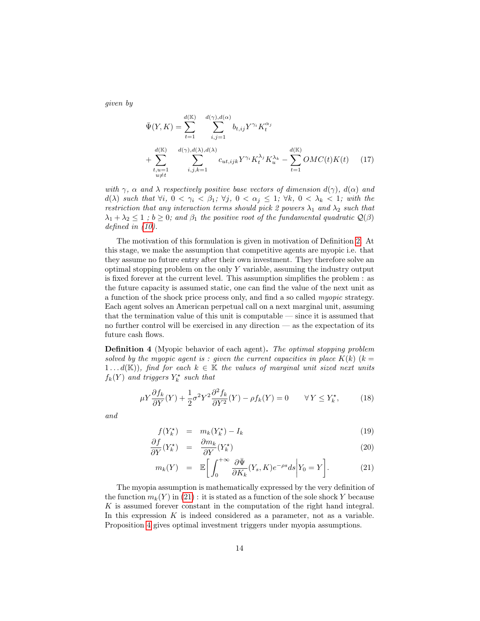given by

$$
\bar{\Psi}(Y,K) = \sum_{t=1}^{d(\mathbb{K})} \sum_{i,j=1}^{d(\gamma),d(\alpha)} b_{t,ij} Y^{\gamma_i} K_t^{\alpha_j}
$$
\n
$$
+ \sum_{\substack{t,u=1 \\ u \neq t}}^{d(\mathbb{K})} \sum_{i,j,k=1}^{d(\gamma),d(\lambda),d(\lambda)} c_{ut,ijk} Y^{\gamma_i} K_t^{\lambda_j} K_u^{\lambda_k} - \sum_{t=1}^{d(\mathbb{K})} OMC(t)K(t) \tag{17}
$$

with  $\gamma$ ,  $\alpha$  and  $\lambda$  respectively positive base vectors of dimension  $d(\gamma)$ ,  $d(\alpha)$  and  $d(\lambda)$  such that  $\forall i, 0 < \gamma_i < \beta_1; \forall j, 0 < \alpha_j \leq 1; \forall k, 0 < \lambda_k < 1;$  with the restriction that any interaction terms should pick 2 powers  $\lambda_1$  and  $\lambda_2$  such that  $\lambda_1 + \lambda_2 \leq 1$ ;  $b \geq 0$ ; and  $\beta_1$  the positive root of the fundamental quadratic  $\mathcal{Q}(\beta)$ defined in [\(10\)](#page-11-3).

The motivation of this formulation is given in motivation of Definition [2.](#page-12-0) At this stage, we make the assumption that competitive agents are myopic i.e. that they assume no future entry after their own investment. They therefore solve an optimal stopping problem on the only Y variable, assuming the industry output is fixed forever at the current level. This assumption simplifies the problem : as the future capacity is assumed static, one can find the value of the next unit as a function of the shock price process only, and find a so called myopic strategy. Each agent solves an American perpetual call on a next marginal unit, assuming that the termination value of this unit is computable — since it is assumed that no further control will be exercised in any direction — as the expectation of its future cash flows.

Definition 4 (Myopic behavior of each agent). The optimal stopping problem solved by the myopic agent is : given the current capacities in place  $K(k)$  ( $k =$ 1... $d(\mathbb{K})$ , find for each  $k \in \mathbb{K}$  the values of marginal unit sized next units  $f_k(Y)$  and triggers  $Y_k^*$  such that

<span id="page-15-0"></span>
$$
\mu Y \frac{\partial f_k}{\partial Y}(Y) + \frac{1}{2} \sigma^2 Y^2 \frac{\partial^2 f_k}{\partial Y^2}(Y) - \rho f_k(Y) = 0 \qquad \forall Y \le Y_k^\star,
$$
 (18)

and

<span id="page-15-1"></span>
$$
f(Y_k^*) = m_k(Y_k^*) - I_k \tag{19}
$$

$$
\frac{\partial f}{\partial Y}(Y_k^{\star}) = \frac{\partial m_k}{\partial Y}(Y_k^{\star})
$$
\n(20)

$$
m_k(Y) = \mathbb{E}\bigg[\int_0^{+\infty} \frac{\partial \bar{\Psi}}{\partial K_k}(Y_s, K)e^{-\rho s}ds\bigg| Y_0 = Y\bigg].\tag{21}
$$

The myopia assumption is mathematically expressed by the very definition of the function  $m_k(Y)$  in [\(21\)](#page-15-1) : it is stated as a function of the sole shock Y because  $K$  is assumed forever constant in the computation of the right hand integral. In this expression K is indeed considered as a parameter, not as a variable. Proposition [4](#page-16-0) gives optimal investment triggers under myopia assumptions.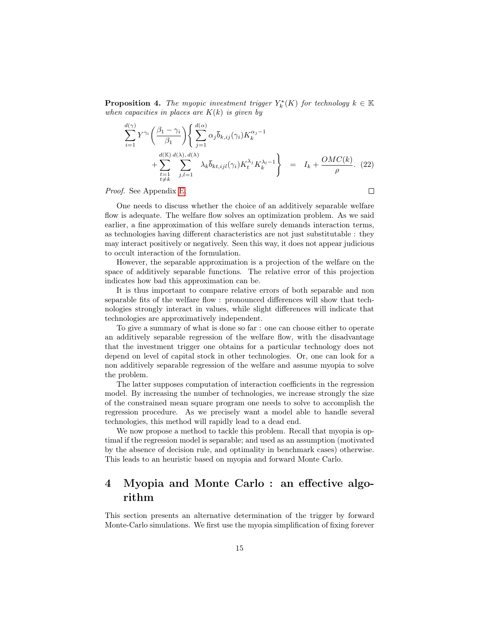<span id="page-16-0"></span>**Proposition 4.** The myopic investment trigger  $Y_k^{\star}(K)$  for technology  $k \in \mathbb{K}$ when capacities in places are  $K(k)$  is given by

$$
\sum_{i=1}^{d(\gamma)} Y^{\gamma_i} \left( \frac{\beta_1 - \gamma_i}{\beta_1} \right) \left\{ \sum_{j=1}^{d(\alpha)} \alpha_j \overline{b}_{k,ij}(\gamma_i) K_k^{\alpha_j - 1} + \sum_{\substack{t=1 \\ t \neq k}}^{d(\mathbb{K})} \sum_{j,l=1}^{d(\lambda), d(\lambda)} \lambda_k \overline{b}_{kt,ijl}(\gamma_i) K_t^{\lambda_j} K_k^{\lambda_l - 1} \right\} = I_k + \frac{OMC(k)}{\rho}.
$$
 (22)

 $\Box$ 

#### Proof. See Appendix [E.](#page-30-0)

One needs to discuss whether the choice of an additively separable welfare flow is adequate. The welfare flow solves an optimization problem. As we said earlier, a fine approximation of this welfare surely demands interaction terms, as technologies having different characteristics are not just substitutable : they may interact positively or negatively. Seen this way, it does not appear judicious to occult interaction of the formulation.

However, the separable approximation is a projection of the welfare on the space of additively separable functions. The relative error of this projection indicates how bad this approximation can be.

It is thus important to compare relative errors of both separable and non separable fits of the welfare flow : pronounced differences will show that technologies strongly interact in values, while slight differences will indicate that technologies are approximatively independent.

To give a summary of what is done so far : one can choose either to operate an additively separable regression of the welfare flow, with the disadvantage that the investment trigger one obtains for a particular technology does not depend on level of capital stock in other technologies. Or, one can look for a non additively separable regression of the welfare and assume myopia to solve the problem.

The latter supposes computation of interaction coefficients in the regression model. By increasing the number of technologies, we increase strongly the size of the constrained mean square program one needs to solve to accomplish the regression procedure. As we precisely want a model able to handle several technologies, this method will rapidly lead to a dead end.

We now propose a method to tackle this problem. Recall that myopia is optimal if the regression model is separable; and used as an assumption (motivated by the absence of decision rule, and optimality in benchmark cases) otherwise. This leads to an heuristic based on myopia and forward Monte Carlo.

## <span id="page-16-1"></span>4 Myopia and Monte Carlo : an effective algorithm

This section presents an alternative determination of the trigger by forward Monte-Carlo simulations. We first use the myopia simplification of fixing forever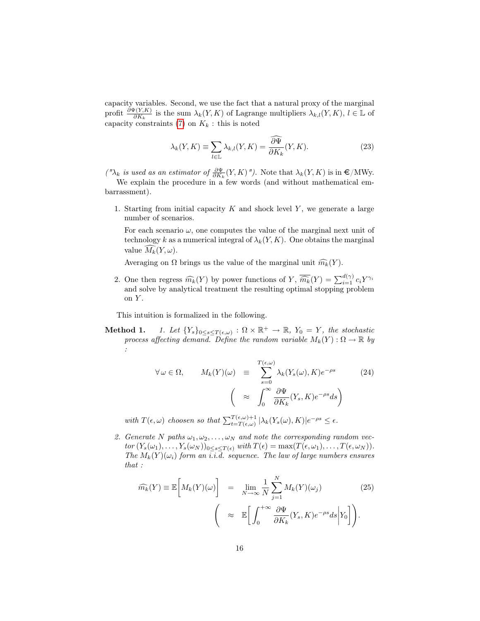capacity variables. Second, we use the fact that a natural proxy of the marginal profit  $\frac{\partial \Psi(Y,K)}{\partial K_k}$  is the sum  $\lambda_k(Y,K)$  of Lagrange multipliers  $\lambda_{k,l}(Y,K)$ ,  $l \in \mathbb{L}$  of capacity constraints  $(7)$  on  $K_k$ : this is noted

$$
\lambda_k(Y, K) \equiv \sum_{l \in \mathbb{L}} \lambda_{k,l}(Y, K) = \frac{\widehat{\partial \Psi}}{\partial K_k}(Y, K). \tag{23}
$$

(" $\lambda_k$  is used as an estimator of  $\frac{\partial \Psi}{\partial K_k}(Y, K)$ "). Note that  $\lambda_k(Y, K)$  is in  $\epsilon/NW$ y.

We explain the procedure in a few words (and without mathematical embarrassment).

1. Starting from initial capacity  $K$  and shock level  $Y$ , we generate a large number of scenarios.

For each scenario  $\omega$ , one computes the value of the marginal next unit of technology k as a numerical integral of  $\lambda_k(Y, K)$ . One obtains the marginal value  $\widehat{M_k}(Y, \omega)$ .

Averaging on  $\Omega$  brings us the value of the marginal unit  $\widehat{m_k}(Y)$ .

2. One then regress  $\widehat{m_k}(Y)$  by power functions of  $Y$ ,  $\widehat{\overline{m_k}}(Y) = \sum_{i=1}^{d(\gamma)} c_i Y^{\gamma_i}$ and solve by analytical treatment the resulting optimal stopping problem on  $Y$ .

This intuition is formalized in the following.

**Method 1.** *1. Let*  $\{Y_s\}_{0\leq s\leq T(\epsilon,\omega)}$  :  $\Omega \times \mathbb{R}^+ \to \mathbb{R}$ ,  $Y_0 = Y$ , the stochastic process affecting demand. Define the random variable  $M_k(Y): \Omega \to \mathbb{R}$  by :

<span id="page-17-1"></span>
$$
\forall \omega \in \Omega, \qquad M_k(Y)(\omega) \equiv \sum_{s=0}^{T(\epsilon, \omega)} \lambda_k(Y_s(\omega), K) e^{-\rho s} \qquad (24)
$$

$$
\left( \approx \int_0^\infty \frac{\partial \Psi}{\partial K_k}(Y_s, K) e^{-\rho s} ds \right)
$$

with  $T(\epsilon, \omega)$  choosen so that  $\sum_{t=T(\epsilon, \omega)}^{T(\epsilon, \omega)+1} |\lambda_k(Y_s(\omega), K)|e^{-\rho s} \leq \epsilon$ .

2. Generate N paths  $\omega_1, \omega_2, \ldots, \omega_N$  and note the corresponding random vec $tor(Y_s(\omega_1), \ldots, Y_s(\omega_N))_{0 \leq s \leq T(\epsilon)}$  with  $T(\epsilon) = \max(T(\epsilon, \omega_1), \ldots, T(\epsilon, \omega_N)).$ The  $M_k(Y)(\omega_i)$  form an i.i.d. sequence. The law of large numbers ensures that :

<span id="page-17-0"></span>
$$
\widehat{m_k}(Y) \equiv \mathbb{E}\left[M_k(Y)(\omega)\right] = \lim_{N \to \infty} \frac{1}{N} \sum_{j=1}^N M_k(Y)(\omega_j)
$$
(25)  

$$
\left(\approx \mathbb{E}\left[\int_0^{+\infty} \frac{\partial \Psi}{\partial K_k}(Y_s, K) e^{-\rho s} ds \middle| Y_0 \right]\right).
$$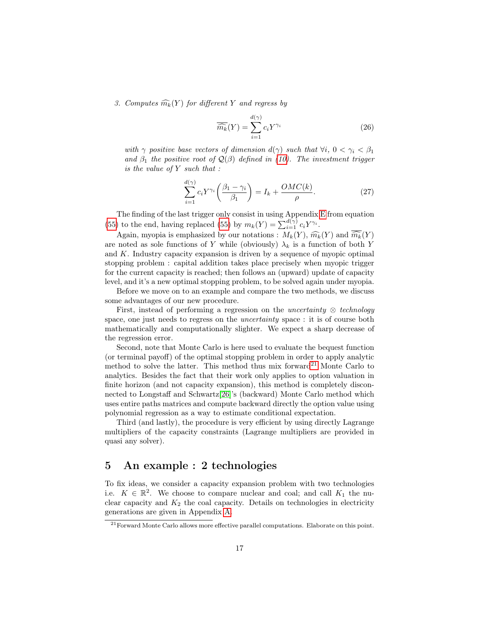3. Computes  $\widehat{m_k}(Y)$  for different Y and regress by

<span id="page-18-1"></span>
$$
\overline{\widehat{m_k}}(Y) = \sum_{i=1}^{d(\gamma)} c_i Y^{\gamma_i}
$$
\n(26)

with  $\gamma$  positive base vectors of dimension  $d(\gamma)$  such that  $\forall i, 0 < \gamma_i < \beta_1$ and  $\beta_1$  the positive root of  $\mathcal{Q}(\beta)$  defined in [\(10\)](#page-11-3). The investment trigger is the value of Y such that :

$$
\sum_{i=1}^{d(\gamma)} c_i Y^{\gamma_i} \left( \frac{\beta_1 - \gamma_i}{\beta_1} \right) = I_k + \frac{OMC(k)}{\rho}.
$$
 (27)

The finding of the last trigger only consist in using Appendix [E](#page-30-0) from equation [\(55\)](#page-31-0) to the end, having replaced (55) by  $m_k(Y) = \sum_{i=1}^{d(\gamma)} c_i Y^{\gamma_i}$ .

Again, myopia is emphasized by our notations :  $M_k(Y)$ ,  $\widehat{m_k}(Y)$  and  $\widehat{\overline{m_k}}(Y)$ are noted as sole functions of Y while (obviously)  $\lambda_k$  is a function of both Y and  $K$ . Industry capacity expansion is driven by a sequence of myopic optimal stopping problem : capital addition takes place precisely when myopic trigger for the current capacity is reached; then follows an (upward) update of capacity level, and it's a new optimal stopping problem, to be solved again under myopia.

Before we move on to an example and compare the two methods, we discuss some advantages of our new procedure.

First, instead of performing a regression on the *uncertainty*  $\otimes$  *technology* space, one just needs to regress on the uncertainty space : it is of course both mathematically and computationally slighter. We expect a sharp decrease of the regression error.

Second, note that Monte Carlo is here used to evaluate the bequest function (or terminal payoff) of the optimal stopping problem in order to apply analytic method to solve the latter. This method thus mix forward<sup>[21](#page-18-0)</sup> Monte Carlo to analytics. Besides the fact that their work only applies to option valuation in finite horizon (and not capacity expansion), this method is completely disconnected to Longstaff and Schwartz[\[26\]](#page-26-1)'s (backward) Monte Carlo method which uses entire paths matrices and compute backward directly the option value using polynomial regression as a way to estimate conditional expectation.

Third (and lastly), the procedure is very efficient by using directly Lagrange multipliers of the capacity constraints (Lagrange multipliers are provided in quasi any solver).

### 5 An example : 2 technologies

To fix ideas, we consider a capacity expansion problem with two technologies i.e.  $K \in \mathbb{R}^2$ . We choose to compare nuclear and coal; and call  $K_1$  the nuclear capacity and  $K_2$  the coal capacity. Details on technologies in electricity generations are given in Appendix [A.](#page-27-2)

<span id="page-18-0"></span> $21$  Forward Monte Carlo allows more effective parallel computations. Elaborate on this point.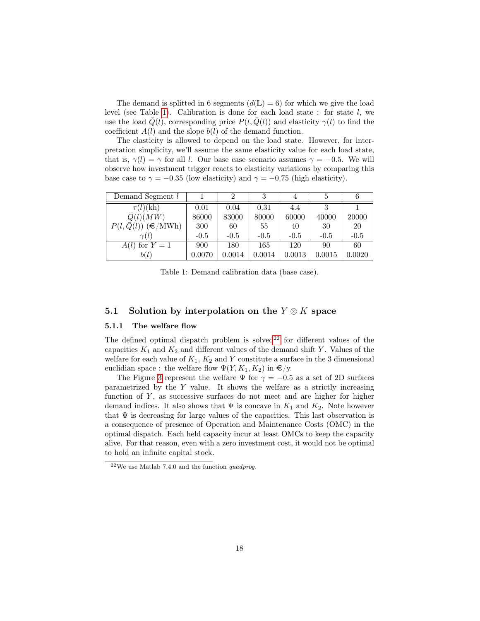The demand is splitted in 6 segments  $(d(\mathbb{L}) = 6)$  for which we give the load level (see Table [1\)](#page-19-0). Calibration is done for each load state : for state  $l$ , we use the load  $Q(l)$ , corresponding price  $P(l, Q(l))$  and elasticity  $\gamma(l)$  to find the coefficient  $A(l)$  and the slope  $b(l)$  of the demand function.

The elasticity is allowed to depend on the load state. However, for interpretation simplicity, we'll assume the same elasticity value for each load state, that is,  $\gamma(l) = \gamma$  for all l. Our base case scenario assumes  $\gamma = -0.5$ . We will observe how investment trigger reacts to elasticity variations by comparing this base case to  $\gamma = -0.35$  (low elasticity) and  $\gamma = -0.75$  (high elasticity).

| Demand Segment l                 |        |        | 3      |        |        |              |
|----------------------------------|--------|--------|--------|--------|--------|--------------|
| $\tau(l)(\mathrm{kh})$           | 0.01   | 0.04   | 0.31   | 4.4    |        |              |
| $\bar{Q}(l)(MW)$                 | 86000  | 83000  | 80000  | 60000  | 40000  | 20000        |
| $P(l, \bar{Q}(l))$ ( $\in/MWh$ ) | 300    | 60     | 55     | 40     | 30     | 20           |
| $\gamma(l)$                      | $-0.5$ | $-0.5$ | $-0.5$ | $-0.5$ | $-0.5$ | $-0.5$       |
| $A(l)$ for $Y=\overline{1}$      | 900    | 180    | 165    | 120    | 90     | 60           |
| b(l)                             | 0.0070 | 0.0014 | 0.0014 | 0.0013 | 0.0015 | $\,0.0020\,$ |

<span id="page-19-0"></span>Table 1: Demand calibration data (base case).

#### 5.1 Solution by interpolation on the  $Y \otimes K$  space

#### 5.1.1 The welfare flow

The defined optimal dispatch problem is solved<sup>[22](#page-19-1)</sup> for different values of the capacities  $K_1$  and  $K_2$  and different values of the demand shift Y. Values of the welfare for each value of  $K_1, K_2$  and Y constitute a surface in the 3 dimensional euclidian space : the welfare flow  $\Psi(Y, K_1, K_2)$  in  $\epsilon/y$ .

The Figure [3](#page-20-0) represent the welfare  $\Psi$  for  $\gamma = -0.5$  as a set of 2D surfaces parametrized by the  $Y$  value. It shows the welfare as a strictly increasing function of  $Y$ , as successive surfaces do not meet and are higher for higher demand indices. It also shows that  $\Psi$  is concave in  $K_1$  and  $K_2$ . Note however that  $\Psi$  is decreasing for large values of the capacities. This last observation is a consequence of presence of Operation and Maintenance Costs (OMC) in the optimal dispatch. Each held capacity incur at least OMCs to keep the capacity alive. For that reason, even with a zero investment cost, it would not be optimal to hold an infinite capital stock.

<span id="page-19-1"></span><sup>22</sup>We use Matlab 7.4.0 and the function quadprog.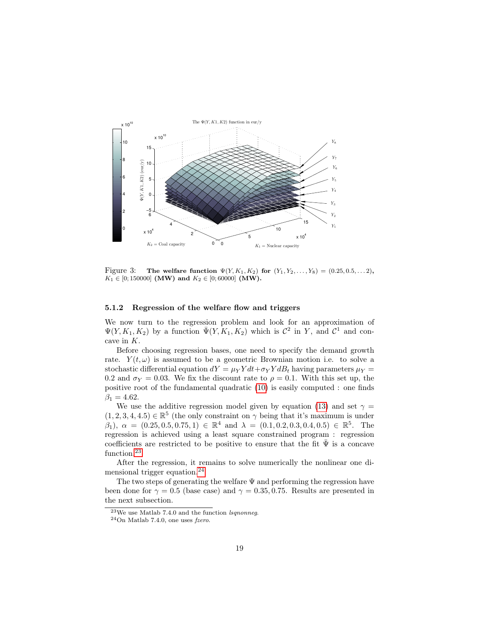

<span id="page-20-0"></span>Figure 3: The welfare function  $\Psi(Y, K_1, K_2)$  for  $(Y_1, Y_2, \ldots, Y_8) = (0.25, 0.5, \ldots, 2)$ ,  $K_1 \in [0; 150000]$  (MW) and  $K_2 \in [0; 60000]$  (MW).

#### 5.1.2 Regression of the welfare flow and triggers

We now turn to the regression problem and look for an approximation of  $\Psi(Y, K_1, K_2)$  by a function  $\bar{\Psi}(Y, K_1, K_2)$  which is  $\mathcal{C}^2$  in Y, and  $\mathcal{C}^1$  and concave in K.

Before choosing regression bases, one need to specify the demand growth rate.  $Y(t, \omega)$  is assumed to be a geometric Brownian motion i.e. to solve a stochastic differential equation  $dY = \mu_Y Y dt + \sigma_Y Y dB_t$  having parameters  $\mu_Y =$ 0.2 and  $\sigma_Y = 0.03$ . We fix the discount rate to  $\rho = 0.1$ . With this set up, the positive root of the fundamental quadratic [\(10\)](#page-11-3) is easily computed : one finds  $\beta_1 = 4.62.$ 

We use the additive regression model given by equation [\(13\)](#page-12-1) and set  $\gamma =$  $(1, 2, 3, 4, 4.5) \in \mathbb{R}^5$  (the only constraint on  $\gamma$  being that it's maximum is under  $(\beta_1), \ \alpha = (0.25, 0.5, 0.75, 1) \in \mathbb{R}^4 \text{ and } \lambda = (0.1, 0.2, 0.3, 0.4, 0.5) \in \mathbb{R}^5.$  The regression is achieved using a least square constrained program : regression coefficients are restricted to be positive to ensure that the fit  $\bar{\Psi}$  is a concave function.<sup>[23](#page-20-1)</sup>

After the regression, it remains to solve numerically the nonlinear one di-mensional trigger equation.<sup>[24](#page-20-2)</sup>

The two steps of generating the welfare  $\Psi$  and performing the regression have been done for  $\gamma = 0.5$  (base case) and  $\gamma = 0.35, 0.75$ . Results are presented in the next subsection.

<span id="page-20-1"></span> $\overline{^{23}\text{We}}$ use Matlab 7.4.0 and the function lsqnonneg.

<span id="page-20-2"></span> $^{24}$ On Matlab 7.4.0, one uses fzero.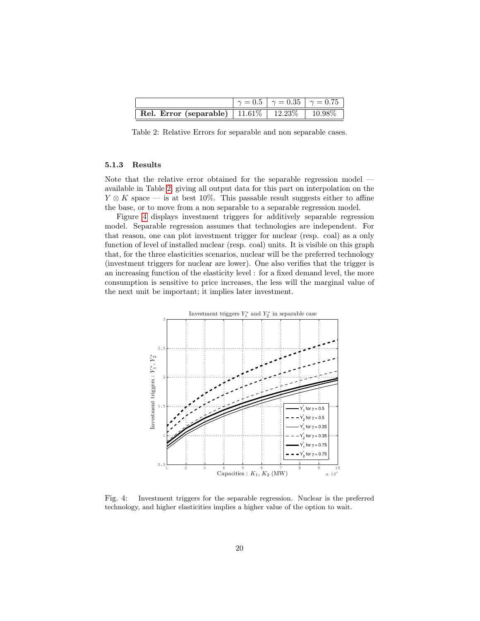|                                                                                     | $\gamma = 0.5$   $\gamma = 0.35$   $\gamma = 0.75$ |  |
|-------------------------------------------------------------------------------------|----------------------------------------------------|--|
| <b>Rel. Error (separable)</b> $\boxed{11.61\%}$ $\boxed{12.23\%}$ $\boxed{10.98\%}$ |                                                    |  |

<span id="page-21-0"></span>Table 2: Relative Errors for separable and non separable cases.

#### 5.1.3 Results

Note that the relative error obtained for the separable regression model available in Table [2,](#page-21-0) giving all output data for this part on interpolation on the  $Y \otimes K$  space — is at best 10%. This passable result suggests either to affine the base, or to move from a non separable to a separable regression model.

Figure [4](#page-21-1) displays investment triggers for additively separable regression model. Separable regression assumes that technologies are independent. For that reason, one can plot investment trigger for nuclear (resp. coal) as a only function of level of installed nuclear (resp. coal) units. It is visible on this graph that, for the three elasticities scenarios, nuclear will be the preferred technology (investment triggers for nuclear are lower). One also verifies that the trigger is an increasing function of the elasticity level : for a fixed demand level, the more consumption is sensitive to price increases, the less will the marginal value of the next unit be important; it implies later investment.



<span id="page-21-1"></span>Fig. 4: Investment triggers for the separable regression. Nuclear is the preferred technology, and higher elasticities implies a higher value of the option to wait.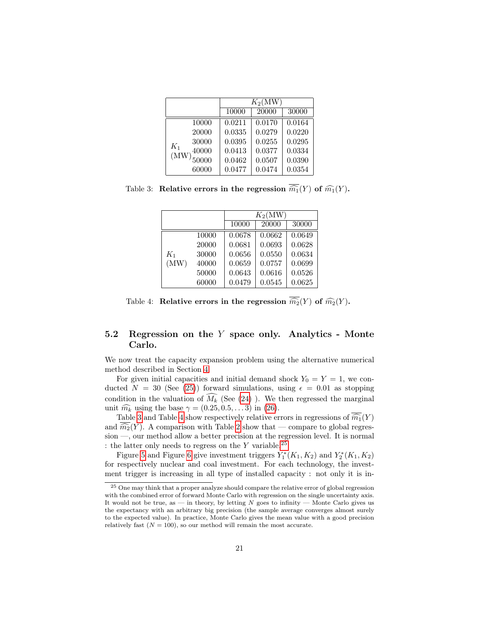|                | $K_2(MW)$ |        |        |  |
|----------------|-----------|--------|--------|--|
|                | 10000     | 20000  | 30000  |  |
| 10000          | 0.0211    | 0.0170 | 0.0164 |  |
| 20000          | 0.0335    | 0.0279 | 0.0220 |  |
| 30000<br>$K_1$ | 0.0395    | 0.0255 | 0.0295 |  |
| 40000<br>(MW)  | 0.0413    | 0.0377 | 0.0334 |  |
| 50000          | 0.0462    | 0.0507 | 0.0390 |  |
| 60000          | 0.0477    | 0.0474 | 0.0354 |  |

Table 3: Relative errors in the regression  $\overline{\widehat{m_1}}(Y)$  of  $\widehat{m_1}(Y)$ .

<span id="page-22-0"></span>

|       |       | $K_2(MW)$ |        |        |  |
|-------|-------|-----------|--------|--------|--|
|       |       | 10000     | 20000  | 30000  |  |
|       | 10000 | 0.0678    | 0.0662 | 0.0649 |  |
|       | 20000 | 0.0681    | 0.0693 | 0.0628 |  |
| $K_1$ | 30000 | 0.0656    | 0.0550 | 0.0634 |  |
| (MW)  | 40000 | 0.0659    | 0.0757 | 0.0699 |  |
|       | 50000 | 0.0643    | 0.0616 | 0.0526 |  |
|       | 60000 | 0.0479    | 0.0545 | 0.0625 |  |

<span id="page-22-1"></span>Table 4: Relative errors in the regression  $\overline{\widehat{m_2}}(Y)$  of  $\widehat{m_2}(Y)$ .

### 5.2 Regression on the Y space only. Analytics - Monte Carlo.

We now treat the capacity expansion problem using the alternative numerical method described in Section [4.](#page-16-1)

For given initial capacities and initial demand shock  $Y_0 = Y = 1$ , we conducted  $N = 30$  (See [\(25\)](#page-17-0)) forward simulations, using  $\epsilon = 0.01$  as stopping condition in the valuation of  $\widehat{M_k}$  (See [\(24\)](#page-17-1)). We then regressed the marginal unit  $\widehat{m_k}$  using the base  $\gamma = (0.25, 0.5, \dots 3)$  in [\(26\)](#page-18-1).

Table [3](#page-22-0) and Table [4](#page-22-1) show respectively relative errors in regressions of  $\overline{\widehat{m_1}}(Y)$ and  $\overline{\widehat{m_2}}(Y)$ . A comparison with Table [2](#page-21-0) show that — compare to global regression —, our method allow a better precision at the regression level. It is normal : the latter only needs to regress on the  $Y$  variable.<sup>[25](#page-22-2)</sup>

Figure [5](#page-23-0) and Figure [6](#page-23-1) give investment triggers  $Y_1^*(K_1, K_2)$  and  $Y_2^*(K_1, K_2)$ for respectively nuclear and coal investment. For each technology, the investment trigger is increasing in all type of installed capacity : not only it is in-

<span id="page-22-2"></span><sup>&</sup>lt;sup>25</sup> One may think that a proper analyze should compare the relative error of global regression with the combined error of forward Monte Carlo with regression on the single uncertainty axis. It would not be true, as — in theory, by letting  $N$  goes to infinity — Monte Carlo gives us the expectancy with an arbitrary big precision (the sample average converges almost surely to the expected value). In practice, Monte Carlo gives the mean value with a good precision relatively fast  $(N = 100)$ , so our method will remain the most accurate.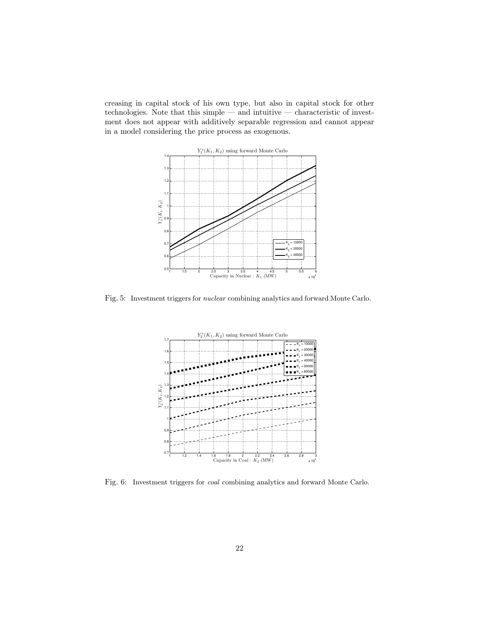creasing in capital stock of his own type, but also in capital stock for other technologies. Note that this simple — and intuitive — characteristic of investment does not appear with additively separable regression and cannot appear in a model considering the price process as exogenous.



<span id="page-23-0"></span>Fig. 5: Investment triggers for nuclear combining analytics and forward Monte Carlo.



<span id="page-23-1"></span>Fig. 6: Investment triggers for coal combining analytics and forward Monte Carlo.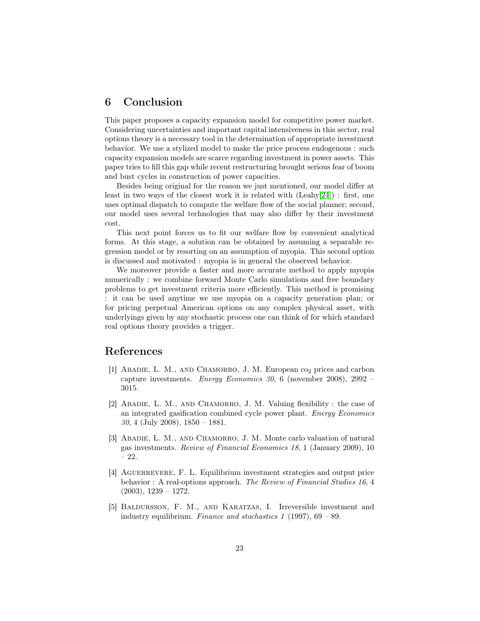### 6 Conclusion

This paper proposes a capacity expansion model for competitive power market. Considering uncertainties and important capital intensiveness in this sector, real options theory is a necessary tool in the determination of appropriate investment behavior. We use a stylized model to make the price process endogenous : such capacity expansion models are scarce regarding investment in power assets. This paper tries to fill this gap while recent restructuring brought serious fear of boom and bust cycles in construction of power capacities.

Besides being original for the reason we just mentioned, our model differ at least in two ways of the closest work it is related with (Leahy[\[24\]](#page-26-3)) : first, one uses optimal dispatch to compute the welfare flow of the social planner; second, our model uses several technologies that may also differ by their investment cost.

This next point forces us to fit our welfare flow by convenient analytical forms. At this stage, a solution can be obtained by assuming a separable regression model or by resorting on an assumption of myopia. This second option is discussed and motivated : myopia is in general the observed behavior.

We moreover provide a faster and more accurate method to apply myopia numerically : we combine forward Monte Carlo simulations and free boundary problems to get investment criteria more efficiently. This method is promising : it can be used anytime we use myopia on a capacity generation plan; or for pricing perpetual American options on any complex physical asset, with underlyings given by any stochastic process one can think of for which standard real options theory provides a trigger.

### References

- <span id="page-24-0"></span>[1] ABADIE, L. M., AND CHAMORRO, J. M. European co<sub>2</sub> prices and carbon capture investments. Energy Economics 30, 6 (november 2008), 2992 – 3015.
- <span id="page-24-1"></span>[2] ABADIE, L. M., AND CHAMORRO, J. M. Valuing flexibility : the case of an integrated gasification combined cycle power plant. Energy Economics 30, 4 (July 2008), 1850 – 1881.
- <span id="page-24-2"></span>[3] ABADIE, L. M., AND CHAMORRO, J. M. Monte carlo valuation of natural gas investments. Review of Financial Economics 18, 1 (January 2009), 10 – 22.
- <span id="page-24-4"></span>[4] AGUERREVERE, F. L. Equilibrium investment strategies and output price behavior : A real-options approach. The Review of Financial Studies 16, 4  $(2003), 1239 - 1272.$
- <span id="page-24-3"></span>[5] Baldursson, F. M., and Karatzas, I. Irreversible investment and industry equilibrium. Finance and stochastics 1 (1997),  $69 - 89$ .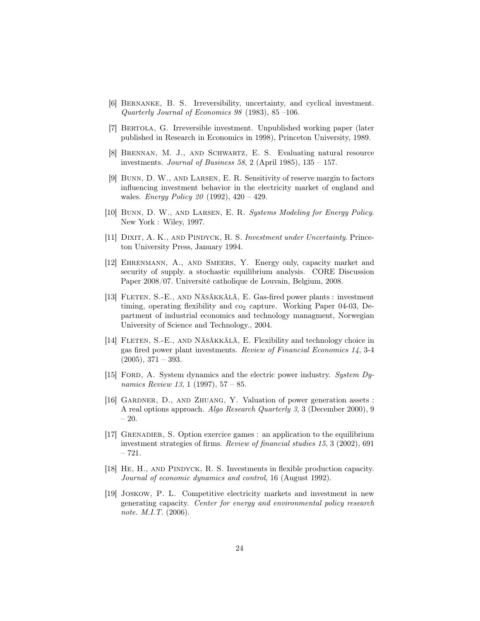- <span id="page-25-6"></span>[6] Bernanke, B. S. Irreversibility, uncertainty, and cyclical investment. Quarterly Journal of Economics 98 (1983), 85 –106.
- <span id="page-25-4"></span>[7] Bertola, G. Irreversible investment. Unpublished working paper (later published in Research in Economics in 1998), Princeton University, 1989.
- <span id="page-25-7"></span>[8] Brennan, M. J., and Schwartz, E. S. Evaluating natural resource investments. Journal of Business 58, 2 (April 1985),  $135 - 157$ .
- <span id="page-25-9"></span>[9] Bunn, D. W., and Larsen, E. R. Sensitivity of reserve margin to factors influencing investment behavior in the electricity market of england and wales. *Energy Policy 20* (1992),  $420 - 429$ .
- <span id="page-25-10"></span>[10] Bunn, D. W., and Larsen, E. R. Systems Modeling for Energy Policy. New York : Wiley, 1997.
- <span id="page-25-11"></span>[11] DIXIT, A. K., AND PINDYCK, R. S. Investment under Uncertainty. Princeton University Press, January 1994.
- <span id="page-25-12"></span>[12] Ehrenmann, A., and Smeers, Y. Energy only, capacity market and security of supply. a stochastic equilibrium analysis. CORE Discussion Paper 2008/07. Université catholique de Louvain, Belgium, 2008.
- <span id="page-25-0"></span>[13] FLETEN, S.-E., AND NÄSÄKKÄLÄ, E. Gas-fired power plants : investment timing, operating flexibility and  $\infty_2$  capture. Working Paper 04-03, Department of industrial economics and technology managment, Norwegian University of Science and Technology., 2004.
- <span id="page-25-1"></span>[14] FLETEN, S.-E., AND NÄSÄKKÄLÄ, E. Flexibility and technology choice in gas fired power plant investments. Review of Financial Economics 14, 3-4  $(2005), 371 - 393.$
- <span id="page-25-8"></span>[15] FORD, A. System dynamics and the electric power industry. System Dynamics Review 13, 1 (1997), 57 – 85.
- <span id="page-25-2"></span>[16] GARDNER, D., AND ZHUANG, Y. Valuation of power generation assets : A real options approach. Algo Research Quarterly 3, 3 (December 2000), 9 – 20.
- <span id="page-25-5"></span>[17] Grenadier, S. Option exercice games : an application to the equilibrium investment strategies of firms. Review of financial studies 15, 3 (2002), 691 – 721.
- <span id="page-25-3"></span>[18] He, H., and Pindyck, R. S. Investments in flexible production capacity. Journal of economic dynamics and control, 16 (August 1992).
- <span id="page-25-13"></span>[19] Joskow, P. L. Competitive electricity markets and investment in new generating capacity. Center for energy and environmental policy research note. M.I.T. (2006).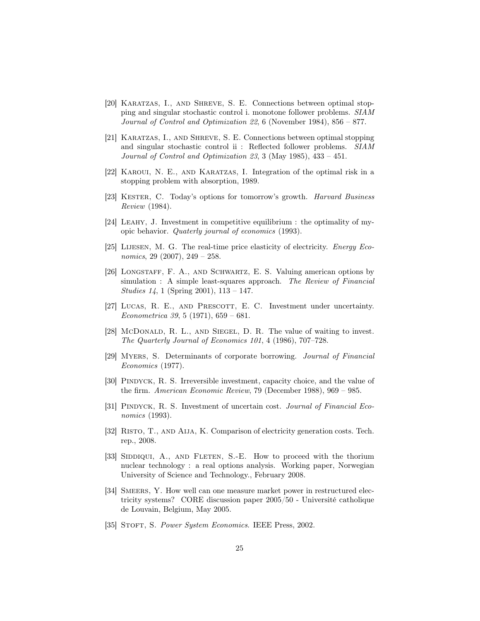- <span id="page-26-11"></span>[20] Karatzas, I., and Shreve, S. E. Connections between optimal stopping and singular stochastic control i. monotone follower problems. SIAM Journal of Control and Optimization 22, 6 (November 1984), 856 – 877.
- <span id="page-26-12"></span>[21] Karatzas, I., and Shreve, S. E. Connections between optimal stopping and singular stochastic control ii : Reflected follower problems. SIAM Journal of Control and Optimization 23, 3 (May 1985), 433 – 451.
- <span id="page-26-13"></span>[22] Karoui, N. E., and Karatzas, I. Integration of the optimal risk in a stopping problem with absorption, 1989.
- <span id="page-26-5"></span>[23] Kester, C. Today's options for tomorrow's growth. Harvard Business Review (1984).
- <span id="page-26-3"></span>[24] Leahy, J. Investment in competitive equilibrium : the optimality of myopic behavior. Quaterly journal of economics (1993).
- <span id="page-26-9"></span>[25] LIJESEN, M. G. The real-time price elasticity of electricity. Energy Economics, 29 (2007),  $249 - 258$ .
- <span id="page-26-1"></span>[26] LONGSTAFF, F. A., AND SCHWARTZ, E. S. Valuing american options by simulation : A simple least-squares approach. The Review of Financial Studies 14, 1 (Spring 2001), 113 – 147.
- <span id="page-26-8"></span>[27] LUCAS, R. E., AND PRESCOTT, E. C. Investment under uncertainty. Econometrica 39, 5 (1971), 659 – 681.
- <span id="page-26-6"></span>[28] McDonald, R. L., and Siegel, D. R. The value of waiting to invest. The Quarterly Journal of Economics 101, 4 (1986), 707–728.
- <span id="page-26-4"></span>[29] Myers, S. Determinants of corporate borrowing. Journal of Financial Economics (1977).
- <span id="page-26-2"></span>[30] PINDYCK, R. S. Irreversible investment, capacity choice, and the value of the firm. American Economic Review, 79 (December 1988), 969 – 985.
- <span id="page-26-14"></span>[31] Pindyck, R. S. Investment of uncertain cost. Journal of Financial Economics (1993).
- <span id="page-26-15"></span>[32] RISTO, T., AND AIJA, K. Comparison of electricity generation costs. Tech. rep., 2008.
- <span id="page-26-0"></span>[33] SIDDIQUI, A., AND FLETEN, S.-E. How to proceed with the thorium nuclear technology : a real options analysis. Working paper, Norwegian University of Science and Technology., February 2008.
- <span id="page-26-10"></span>[34] SMEERS, Y. How well can one measure market power in restructured electricity systems? CORE discussion paper 2005/50 - Université catholique de Louvain, Belgium, May 2005.
- <span id="page-26-7"></span>[35] STOFT, S. Power System Economics. IEEE Press, 2002.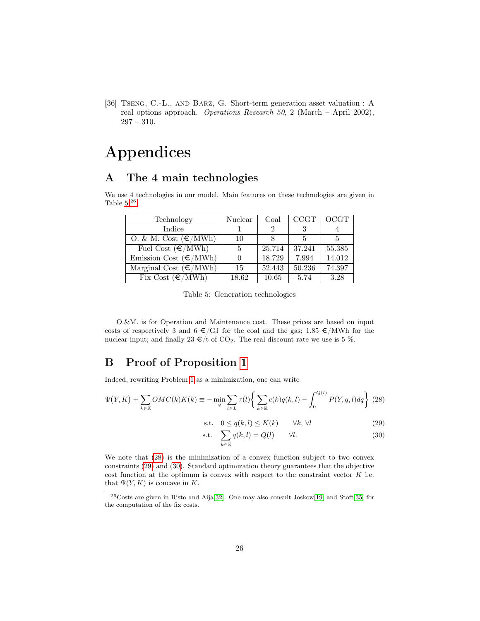<span id="page-27-0"></span>[36] Tseng, C.-L., and Barz, G. Short-term generation asset valuation : A real options approach. Operations Research 50, 2 (March – April 2002), 297 – 310.

# Appendices

## <span id="page-27-2"></span>A The 4 main technologies

We use 4 technologies in our model. Main features on these technologies are given in Table  $5.^{26}$  $5.^{26}$  $5.^{26}$ 

| Technology                        | Nuclear | Coal   | CCGT   | OCGT   |
|-----------------------------------|---------|--------|--------|--------|
| Indice                            |         | 9      |        |        |
| O. & M. Cost $(\epsilon/MWh)$     | 10      |        | 5      | 5      |
| Fuel Cost $(\epsilon/\text{MWh})$ | 5       | 25.714 | 37.241 | 55.385 |
| Emission Cost $(\epsilon/MWh)$    |         | 18.729 | 7.994  | 14.012 |
| Marginal Cost $(\epsilon/MWh)$    | 15      | 52.443 | 50.236 | 74.397 |
| Fix Cost $(\epsilon/MWh)$         | 18.62   | 10.65  | 5.74   | 3.28   |

<span id="page-27-3"></span>Table 5: Generation technologies

O.&M. is for Operation and Maintenance cost. These prices are based on input costs of respectively 3 and 6  $\epsilon$ /GJ for the coal and the gas; 1.85  $\epsilon$ /MWh for the nuclear input; and finally 23  $\epsilon$ /t of CO<sub>2</sub>. The real discount rate we use is 5 %.

## <span id="page-27-1"></span>B Proof of Proposition [1](#page-9-5)

Indeed, rewriting Problem [1](#page-8-0) as a minimization, one can write

<span id="page-27-5"></span>
$$
\Psi(Y,K) + \sum_{k \in \mathbb{K}} OMC(k)K(k) \equiv -\min_{q} \sum_{l \in L} \tau(l) \left\{ \sum_{k \in \mathbb{K}} c(k)q(k,l) - \int_{0}^{Q(l)} P(Y,q,l)dq \right\} (28)
$$

$$
\text{s.t.} \quad 0 \le q(k, l) \le K(k) \qquad \forall k, \forall l \tag{29}
$$

$$
\text{s.t.} \quad \sum_{k \in \mathbb{K}} q(k, l) = Q(l) \qquad \forall l. \tag{30}
$$

We note that [\(28\)](#page-27-5) is the minimization of a convex function subject to two convex constraints [\(29\)](#page-27-5) and [\(30\)](#page-27-5). Standard optimization theory guarantees that the objective cost function at the optimum is convex with respect to the constraint vector  $K$  i.e. that  $\Psi(Y, K)$  is concave in K.

<span id="page-27-4"></span><sup>26</sup>Costs are given in Risto and Aija[\[32\]](#page-26-15). One may also consult Joskow[\[19\]](#page-25-13) and Stoft[\[35\]](#page-26-7) for the computation of the fix costs.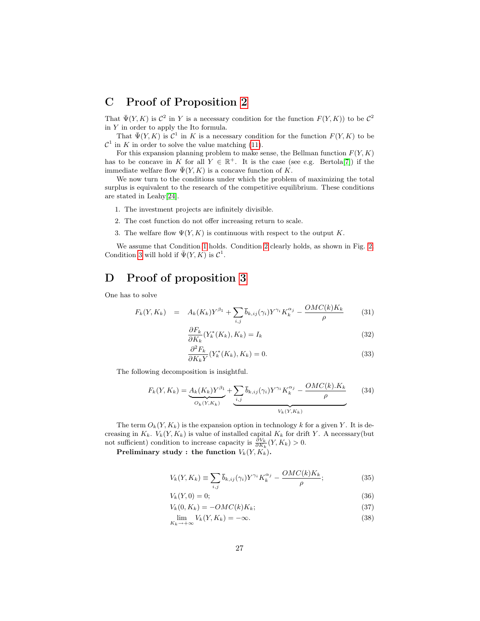## <span id="page-28-0"></span>C Proof of Proposition [2](#page-9-3)

That  $\bar{\Psi}(Y,K)$  is  $\mathcal{C}^2$  in Y is a necessary condition for the function  $F(Y,K)$  to be  $\mathcal{C}^2$ in  $\boldsymbol{Y}$  in order to apply the Ito formula.

That  $\bar{\Psi}(Y,K)$  is  $\mathcal{C}^1$  in K is a necessary condition for the function  $F(Y,K)$  to be  $\mathcal{C}^1$  in K in order to solve the value matching [\(11\)](#page-12-2).

For this expansion planning problem to make sense, the Bellman function  $F(Y, K)$ has to be concave in K for all  $Y \in \mathbb{R}^+$ . It is the case (see e.g. Bertola<sup>[\[7\]](#page-25-4)</sup>) if the immediate welfare flow  $\bar{\Psi}(Y, K)$  is a concave function of K.

We now turn to the conditions under which the problem of maximizing the total surplus is equivalent to the research of the competitive equilibrium. These conditions are stated in Leahy[\[24\]](#page-26-3).

- <span id="page-28-2"></span>1. The investment projects are infinitely divisible.
- <span id="page-28-3"></span>2. The cost function do not offer increasing return to scale.
- <span id="page-28-4"></span>3. The welfare flow  $\Psi(Y, K)$  is continuous with respect to the output K.

We assume that Condition [1](#page-28-2) holds. Condition [2](#page-28-3) clearly holds, as shown in Fig. [2.](#page-8-1) Condition [3](#page-28-4) will hold if  $\bar{\Psi}(Y,K)$  is  $\mathcal{C}^1$ .

## <span id="page-28-1"></span>D Proof of proposition [3](#page-13-1)

One has to solve

<span id="page-28-5"></span>
$$
F_k(Y, K_k) = A_k(K_k)Y^{\beta_1} + \sum_{i,j} \bar{b}_{k,ij}(\gamma_i)Y^{\gamma_i}K_k^{\alpha_j} - \frac{OMC(k)K_k}{\rho}
$$
(31)

$$
\frac{\partial F_k}{\partial K_k}(Y_k^*(K_k), K_k) = I_k \tag{32}
$$

$$
\frac{\partial^2 F_k}{\partial K_k Y}(Y_k^*(K_k), K_k) = 0.
$$
\n(33)

The following decomposition is insightful.

$$
F_k(Y, K_k) = \underbrace{A_k(K_k)Y^{\beta_1}}_{O_k(Y, K_k)} + \underbrace{\sum_{i,j} \overline{b}_{k,ij}(\gamma_i)Y^{\gamma_i}K_k^{\alpha_j} - \frac{OMC(k).K_k}{\rho}}_{V_k(Y, K_k)}
$$
(34)

The term  $O_k(Y, K_k)$  is the expansion option in technology k for a given Y. It is decreasing in  $K_k$ .  $V_k(Y, K_k)$  is value of installed capital  $K_k$  for drift Y. A necessary(but not sufficient) condition to increase capacity is  $\frac{\partial V_k}{\partial K_k}(Y, K_k) > 0$ .

Preliminary study : the function  $V_k(Y, K_k)$ .

$$
V_k(Y, K_k) \equiv \sum_{i,j} \bar{b}_{k,ij}(\gamma_i) Y^{\gamma_i} K_k^{\alpha_j} - \frac{OMC(k)K_k}{\rho};\tag{35}
$$

$$
V_k(Y,0) = 0;\t\t(36)
$$

$$
V_k(0, K_k) = -OMC(k)K_k;
$$
\n<sup>(37)</sup>

$$
\lim_{K_k \to +\infty} V_k(Y, K_k) = -\infty. \tag{38}
$$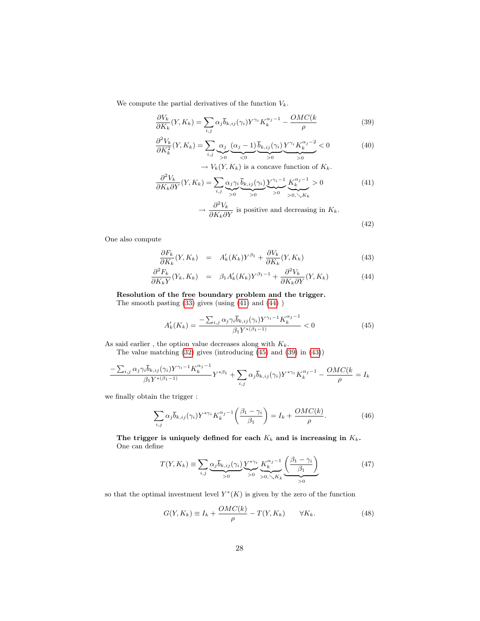We compute the partial derivatives of the function  $V_k$ .

<span id="page-29-0"></span>
$$
\frac{\partial V_k}{\partial K_k}(Y, K_k) = \sum_{i,j} \alpha_j \overline{b}_{k,ij}(\gamma_i) Y^{\gamma_i} K_k^{\alpha_j - 1} - \frac{OMC(k)}{\rho} \tag{39}
$$

$$
\frac{\partial^2 V_k}{\partial K_k^2}(Y, K_k) = \sum_{i,j} \underbrace{\alpha_j}_{>0} \underbrace{(\alpha_j - 1)}_{<0} \underbrace{\overline{b}_{k,ij}(\gamma_i)}_{>0} \underbrace{Y^{\gamma_i} K_k^{\alpha_j - 2}}_{>0} < 0 \tag{40}
$$

 $\rightarrow V_k(Y, K_k)$  is a concave function of  $K_k$ .

$$
\frac{\partial^2 V_k}{\partial K_k \partial Y}(Y, K_k) = \sum_{i,j} \underbrace{\alpha_j \gamma_i}_{>0} \underbrace{\overline{b}_{k,ij}(\gamma_i)}_{>0} \underbrace{Y^{\gamma_i - 1}}_{>0} \underbrace{K_k^{\alpha_j - 1}}_{>0, \searrow K_k} > 0
$$
\n
$$
\rightarrow \frac{\partial^2 V_k}{\partial K_k \partial Y} \text{ is positive and decreasing in } K_k.
$$
\n
$$
(42)
$$

One also compute

<span id="page-29-1"></span>
$$
\frac{\partial F_k}{\partial K_k}(Y, K_k) = A'_k(K_k)Y^{\beta_1} + \frac{\partial V_k}{\partial K_k}(Y, K_k)
$$
\n(43)

$$
\frac{\partial^2 F_k}{\partial K_k Y}(Y_k, K_k) = \beta_1 A'_k(K_k) Y^{\beta_1 - 1} + \frac{\partial^2 V_k}{\partial K_k \partial Y}(Y, K_k)
$$
(44)

Resolution of the free boundary problem and the trigger.

The smooth pasting [\(33\)](#page-28-5) gives (using [\(41\)](#page-29-0) and [\(44\)](#page-29-1) )

<span id="page-29-2"></span>
$$
A'_{k}(K_{k}) = \frac{-\sum_{i,j} \alpha_{j} \gamma_{i} \overline{b}_{k,ij}(\gamma_{i}) Y^{\gamma_{i}-1} K_{k}^{\alpha_{j}-1}}{\beta_{1} Y^{*(\beta_{1}-1)}} < 0
$$
\n(45)

As said earlier , the option value decreases along with  $K_k.$ 

The value matching [\(32\)](#page-28-5) gives (introducing [\(45\)](#page-29-2) and [\(39\)](#page-29-0) in [\(43\)](#page-29-1))

$$
\frac{-\sum_{i,j}\alpha_j\gamma_i\overline{b}_{k,ij}(\gamma_i)Y^{\gamma_i-1}K_k^{\alpha_j-1}}{\beta_1Y^{*(\beta_1-1)}}Y^{*\beta_1} + \sum_{i,j}\alpha_j\overline{b}_{k,ij}(\gamma_i)Y^{*\gamma_i}K_k^{\alpha_j-1} - \frac{OMC(k)}{\rho} = I_k
$$

we finally obtain the trigger :

$$
\sum_{i,j} \alpha_j \overline{b}_{k,ij}(\gamma_i) Y^{*\gamma_i} K_k^{\alpha_j - 1} \left( \frac{\beta_1 - \gamma_i}{\beta_1} \right) = I_k + \frac{OMC(k)}{\rho}.
$$
 (46)

The trigger is uniquely defined for each  $K_k$  and is increasing in  $K_k$ . One can define

$$
T(Y, K_k) \equiv \sum_{i,j} \underbrace{\alpha_j \overline{b}_{k,ij}(\gamma_i)}_{>0} \underbrace{Y^{*\gamma_i}}_{>0} \underbrace{K_k^{\alpha_j - 1}}_{>0, \searrow K_k} \underbrace{\left(\frac{\beta_1 - \gamma_i}{\beta_1}\right)}_{>0}
$$
(47)

so that the optimal investment level  $Y^*(K)$  is given by the zero of the function

$$
G(Y, K_k) \equiv I_k + \frac{OMC(k)}{\rho} - T(Y, K_k) \qquad \forall K_k.
$$
 (48)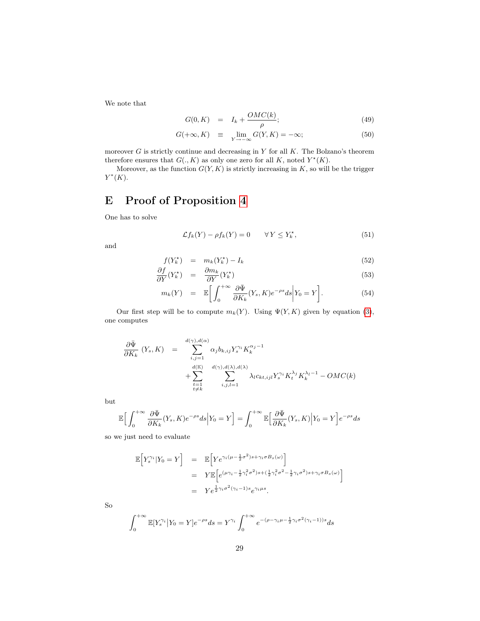We note that

$$
G(0, K) = I_k + \frac{OMC(k)}{\rho}; \qquad (49)
$$

$$
G(+\infty, K) \equiv \lim_{Y \to -\infty} G(Y, K) = -\infty; \tag{50}
$$

moreover  $G$  is strictly continue and decreasing in  $Y$  for all  $K$ . The Bolzano's theorem therefore ensures that  $G(., K)$  as only one zero for all K, noted  $Y^*(K)$ .

Moreover, as the function  $G(Y, K)$  is strictly increasing in  $K$ , so will be the trigger  $Y^*(K)$ .

## <span id="page-30-0"></span>E Proof of Proposition [4](#page-16-0)

One has to solve

<span id="page-30-1"></span>
$$
\mathcal{L}f_k(Y) - \rho f_k(Y) = 0 \qquad \forall Y \le Y_k^\star,
$$
\n(51)

and

$$
f(Y_k^{\star}) = m_k(Y_k^{\star}) - I_k
$$
\n
$$
\mathcal{L} = \mathcal{L} \tag{52}
$$

<span id="page-30-2"></span>
$$
\frac{\partial f}{\partial Y}(Y_k^{\star}) = \frac{\partial m_k}{\partial Y}(Y_k^{\star})
$$
\n(53)

$$
m_k(Y) = \mathbb{E}\bigg[\int_0^{+\infty} \frac{\partial \bar{\Psi}}{\partial K_k}(Y_s, K)e^{-\rho s}ds\bigg| Y_0 = Y\bigg].\tag{54}
$$

Our first step will be to compute  $m_k(Y)$ . Using  $\Psi(Y, K)$  given by equation [\(3\)](#page-14-2), one computes

$$
\frac{\partial \bar{\Psi}}{\partial K_k} (Y_s, K) = \sum_{\substack{i,j=1 \ i \neq k}}^{d(\gamma), d(\alpha)} \alpha_j b_{k,ij} Y_s^{\gamma_i} K_k^{\alpha_j - 1} + \sum_{\substack{d(\mathbb{K}) \ i \neq k}}^{d(\gamma), d(\gamma), d(\lambda), d(\lambda)} \lambda_l c_{k,ij} Y_s^{\gamma_i} K_l^{\lambda_j} K_k^{\lambda_l - 1} - OMC(k)
$$

but

$$
\mathbb{E}\Big[\int_0^{+\infty} \frac{\partial \bar{\Psi}}{\partial K_k}(Y_s, K)e^{-\rho s}ds\Big| Y_0 = Y\Big] = \int_0^{+\infty} \mathbb{E}\Big[\frac{\partial \bar{\Psi}}{\partial K_k}(Y_s, K)\Big| Y_0 = Y\Big]e^{-\rho s}ds
$$

so we just need to evaluate

$$
\mathbb{E}\Big[Y_s^{\gamma_i}|Y_0=Y\Big] = \mathbb{E}\Big[Y e^{\gamma_i(\mu-\frac{1}{2}\sigma^2)s+\gamma_i\sigma B_s(\omega)}\Big]
$$
  
\n
$$
= Y \mathbb{E}\Big[e^{(\mu\gamma_i-\frac{1}{2}\gamma_i^2\sigma^2)s+(\frac{1}{2}\gamma_i^2\sigma^2-\frac{1}{2}\gamma_i\sigma^2)s+\gamma_i\sigma B_s(\omega)}\Big]
$$
  
\n
$$
= Y e^{\frac{1}{2}\gamma_i\sigma^2(\gamma_i-1)s} e^{\gamma_i\mu s}.
$$

So

$$
\int_0^{+\infty} \mathbb{E}[Y_s^{\gamma_i} | Y_0 = Y] e^{-\rho s} ds = Y^{\gamma_i} \int_0^{+\infty} e^{-(\rho - \gamma_i \mu - \frac{1}{2} \gamma_i \sigma^2 (\gamma_i - 1))s} ds
$$